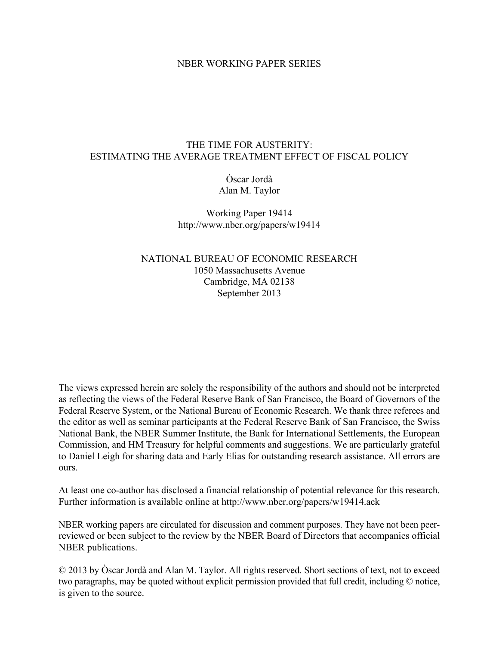#### NBER WORKING PAPER SERIES

#### THE TIME FOR AUSTERITY: ESTIMATING THE AVERAGE TREATMENT EFFECT OF FISCAL POLICY

## Òscar Jordà Alan M. Taylor

Working Paper 19414 http://www.nber.org/papers/w19414

#### NATIONAL BUREAU OF ECONOMIC RESEARCH 1050 Massachusetts Avenue Cambridge, MA 02138 September 2013

The views expressed herein are solely the responsibility of the authors and should not be interpreted as reflecting the views of the Federal Reserve Bank of San Francisco, the Board of Governors of the Federal Reserve System, or the National Bureau of Economic Research. We thank three referees and the editor as well as seminar participants at the Federal Reserve Bank of San Francisco, the Swiss National Bank, the NBER Summer Institute, the Bank for International Settlements, the European Commission, and HM Treasury for helpful comments and suggestions. We are particularly grateful to Daniel Leigh for sharing data and Early Elias for outstanding research assistance. All errors are ours.

At least one co-author has disclosed a financial relationship of potential relevance for this research. Further information is available online at http://www.nber.org/papers/w19414.ack

NBER working papers are circulated for discussion and comment purposes. They have not been peerreviewed or been subject to the review by the NBER Board of Directors that accompanies official NBER publications.

© 2013 by Òscar Jordà and Alan M. Taylor. All rights reserved. Short sections of text, not to exceed two paragraphs, may be quoted without explicit permission provided that full credit, including © notice, is given to the source.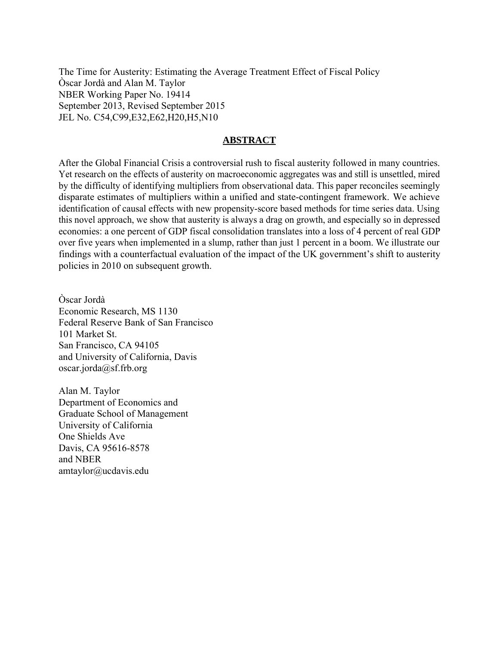The Time for Austerity: Estimating the Average Treatment Effect of Fiscal Policy Òscar Jordà and Alan M. Taylor NBER Working Paper No. 19414 September 2013, Revised September 2015 JEL No. C54,C99,E32,E62,H20,H5,N10

#### **ABSTRACT**

After the Global Financial Crisis a controversial rush to fiscal austerity followed in many countries. Yet research on the effects of austerity on macroeconomic aggregates was and still is unsettled, mired by the difficulty of identifying multipliers from observational data. This paper reconciles seemingly disparate estimates of multipliers within a unified and state-contingent framework. We achieve identification of causal effects with new propensity-score based methods for time series data. Using this novel approach, we show that austerity is always a drag on growth, and especially so in depressed economies: a one percent of GDP fiscal consolidation translates into a loss of 4 percent of real GDP over five years when implemented in a slump, rather than just 1 percent in a boom. We illustrate our findings with a counterfactual evaluation of the impact of the UK government's shift to austerity policies in 2010 on subsequent growth.

Òscar Jordà Economic Research, MS 1130 Federal Reserve Bank of San Francisco 101 Market St. San Francisco, CA 94105 and University of California, Davis oscar.jorda@sf.frb.org

Alan M. Taylor Department of Economics and Graduate School of Management University of California One Shields Ave Davis, CA 95616-8578 and NBER amtaylor@ucdavis.edu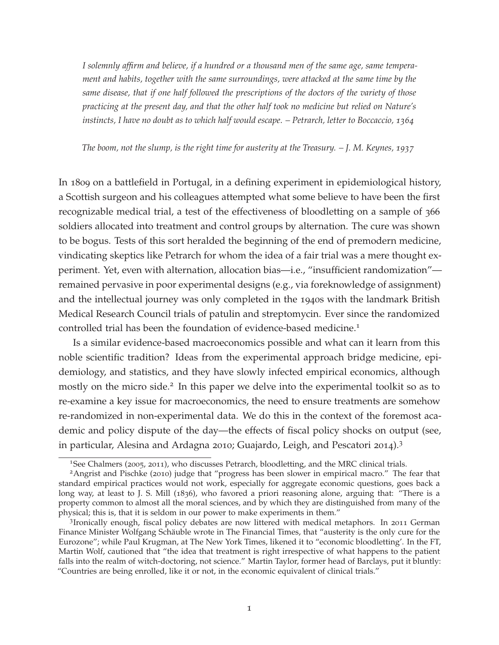*I solemnly affirm and believe, if a hundred or a thousand men of the same age, same temperament and habits, together with the same surroundings, were attacked at the same time by the same disease, that if one half followed the prescriptions of the doctors of the variety of those practicing at the present day, and that the other half took no medicine but relied on Nature's instincts, I have no doubt as to which half would escape. – Petrarch, letter to Boccaccio, 1364*

*The boom, not the slump, is the right time for austerity at the Treasury. – J. M. Keynes, 1937*

In 1809 on a battlefield in Portugal, in a defining experiment in epidemiological history, a Scottish surgeon and his colleagues attempted what some believe to have been the first recognizable medical trial, a test of the effectiveness of bloodletting on a sample of 366 soldiers allocated into treatment and control groups by alternation. The cure was shown to be bogus. Tests of this sort heralded the beginning of the end of premodern medicine, vindicating skeptics like Petrarch for whom the idea of a fair trial was a mere thought experiment. Yet, even with alternation, allocation bias—i.e., "insufficient randomization" remained pervasive in poor experimental designs (e.g., via foreknowledge of assignment) and the intellectual journey was only completed in the 1940s with the landmark British Medical Research Council trials of patulin and streptomycin. Ever since the randomized controlled trial has been the foundation of evidence-based medicine.<sup>1</sup>

Is a similar evidence-based macroeconomics possible and what can it learn from this noble scientific tradition? Ideas from the experimental approach bridge medicine, epidemiology, and statistics, and they have slowly infected empirical economics, although mostly on the micro side.<sup>2</sup> In this paper we delve into the experimental toolkit so as to re-examine a key issue for macroeconomics, the need to ensure treatments are somehow re-randomized in non-experimental data. We do this in the context of the foremost academic and policy dispute of the day—the effects of fiscal policy shocks on output (see, in particular, Alesina and Ardagna 2010; Guajardo, Leigh, and Pescatori 2014).<sup>3</sup>

<sup>1</sup>See Chalmers (2005, 2011), who discusses Petrarch, bloodletting, and the MRC clinical trials.

<sup>&</sup>lt;sup>2</sup>Angrist and Pischke (2010) judge that "progress has been slower in empirical macro." The fear that standard empirical practices would not work, especially for aggregate economic questions, goes back a long way, at least to J. S. Mill (1836), who favored a priori reasoning alone, arguing that: "There is a property common to almost all the moral sciences, and by which they are distinguished from many of the physical; this is, that it is seldom in our power to make experiments in them."

<sup>3</sup> Ironically enough, fiscal policy debates are now littered with medical metaphors. In 2011 German Finance Minister Wolfgang Schäuble wrote in The Financial Times, that "austerity is the only cure for the Eurozone"; while Paul Krugman, at The New York Times, likened it to "economic bloodletting'. In the FT, Martin Wolf, cautioned that "the idea that treatment is right irrespective of what happens to the patient falls into the realm of witch-doctoring, not science." Martin Taylor, former head of Barclays, put it bluntly: "Countries are being enrolled, like it or not, in the economic equivalent of clinical trials."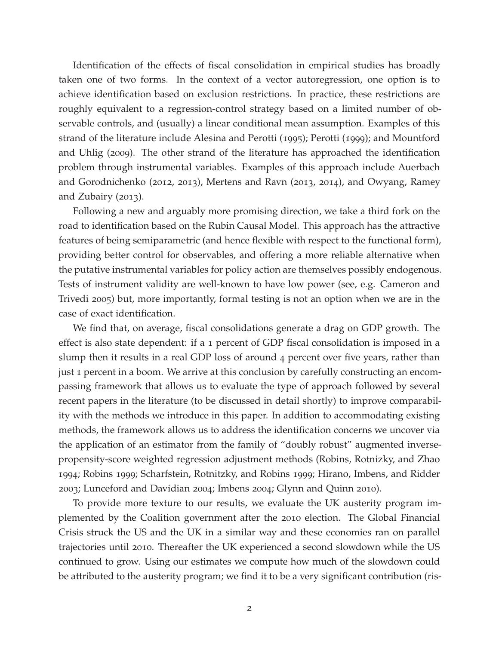Identification of the effects of fiscal consolidation in empirical studies has broadly taken one of two forms. In the context of a vector autoregression, one option is to achieve identification based on exclusion restrictions. In practice, these restrictions are roughly equivalent to a regression-control strategy based on a limited number of observable controls, and (usually) a linear conditional mean assumption. Examples of this strand of the literature include Alesina and Perotti (1995); Perotti (1999); and Mountford and Uhlig (2009). The other strand of the literature has approached the identification problem through instrumental variables. Examples of this approach include Auerbach and Gorodnichenko (2012, 2013), Mertens and Ravn (2013, 2014), and Owyang, Ramey and Zubairy (2013).

Following a new and arguably more promising direction, we take a third fork on the road to identification based on the Rubin Causal Model. This approach has the attractive features of being semiparametric (and hence flexible with respect to the functional form), providing better control for observables, and offering a more reliable alternative when the putative instrumental variables for policy action are themselves possibly endogenous. Tests of instrument validity are well-known to have low power (see, e.g. Cameron and Trivedi 2005) but, more importantly, formal testing is not an option when we are in the case of exact identification.

We find that, on average, fiscal consolidations generate a drag on GDP growth. The effect is also state dependent: if a 1 percent of GDP fiscal consolidation is imposed in a slump then it results in a real GDP loss of around 4 percent over five years, rather than just 1 percent in a boom. We arrive at this conclusion by carefully constructing an encompassing framework that allows us to evaluate the type of approach followed by several recent papers in the literature (to be discussed in detail shortly) to improve comparability with the methods we introduce in this paper. In addition to accommodating existing methods, the framework allows us to address the identification concerns we uncover via the application of an estimator from the family of "doubly robust" augmented inversepropensity-score weighted regression adjustment methods (Robins, Rotnizky, and Zhao 1994; Robins 1999; Scharfstein, Rotnitzky, and Robins 1999; Hirano, Imbens, and Ridder 2003; Lunceford and Davidian 2004; Imbens 2004; Glynn and Quinn 2010).

To provide more texture to our results, we evaluate the UK austerity program implemented by the Coalition government after the 2010 election. The Global Financial Crisis struck the US and the UK in a similar way and these economies ran on parallel trajectories until 2010. Thereafter the UK experienced a second slowdown while the US continued to grow. Using our estimates we compute how much of the slowdown could be attributed to the austerity program; we find it to be a very significant contribution (ris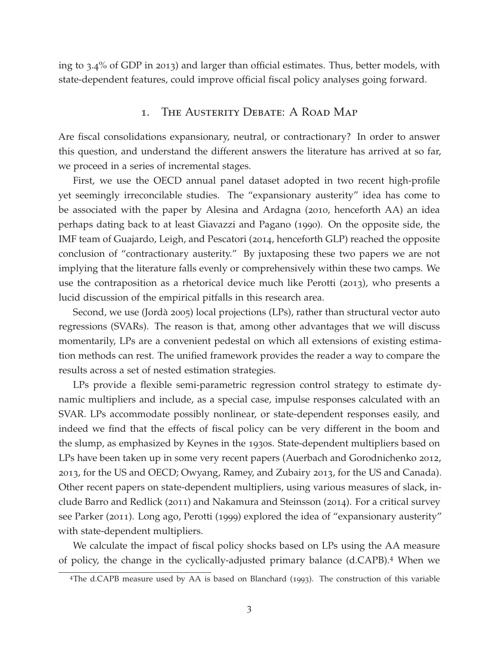ing to 3.4% of GDP in 2013) and larger than official estimates. Thus, better models, with state-dependent features, could improve official fiscal policy analyses going forward.

#### 1. The Austerity Debate: A Road Map

Are fiscal consolidations expansionary, neutral, or contractionary? In order to answer this question, and understand the different answers the literature has arrived at so far, we proceed in a series of incremental stages.

First, we use the OECD annual panel dataset adopted in two recent high-profile yet seemingly irreconcilable studies. The "expansionary austerity" idea has come to be associated with the paper by Alesina and Ardagna (2010, henceforth AA) an idea perhaps dating back to at least Giavazzi and Pagano (1990). On the opposite side, the IMF team of Guajardo, Leigh, and Pescatori (2014, henceforth GLP) reached the opposite conclusion of "contractionary austerity." By juxtaposing these two papers we are not implying that the literature falls evenly or comprehensively within these two camps. We use the contraposition as a rhetorical device much like Perotti (2013), who presents a lucid discussion of the empirical pitfalls in this research area.

Second, we use (Jordà 2005) local projections (LPs), rather than structural vector auto regressions (SVARs). The reason is that, among other advantages that we will discuss momentarily, LPs are a convenient pedestal on which all extensions of existing estimation methods can rest. The unified framework provides the reader a way to compare the results across a set of nested estimation strategies.

LPs provide a flexible semi-parametric regression control strategy to estimate dynamic multipliers and include, as a special case, impulse responses calculated with an SVAR. LPs accommodate possibly nonlinear, or state-dependent responses easily, and indeed we find that the effects of fiscal policy can be very different in the boom and the slump, as emphasized by Keynes in the 1930s. State-dependent multipliers based on LPs have been taken up in some very recent papers (Auerbach and Gorodnichenko 2012, 2013, for the US and OECD; Owyang, Ramey, and Zubairy 2013, for the US and Canada). Other recent papers on state-dependent multipliers, using various measures of slack, include Barro and Redlick (2011) and Nakamura and Steinsson (2014). For a critical survey see Parker (2011). Long ago, Perotti (1999) explored the idea of "expansionary austerity" with state-dependent multipliers.

We calculate the impact of fiscal policy shocks based on LPs using the AA measure of policy, the change in the cyclically-adjusted primary balance (d.CAPB).<sup>4</sup> When we

<sup>4</sup>The d.CAPB measure used by AA is based on Blanchard (1993). The construction of this variable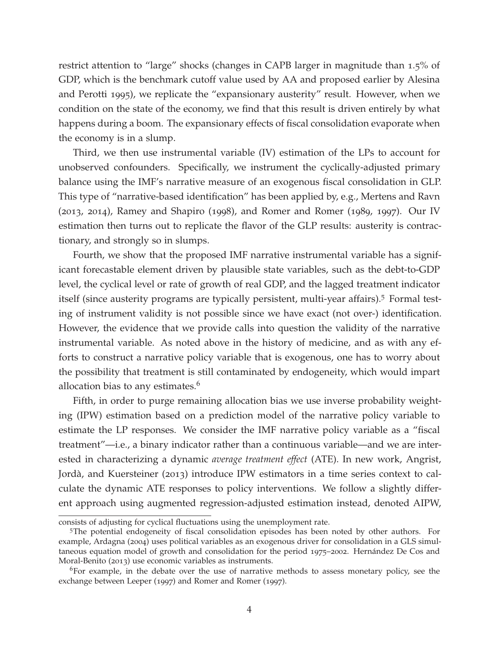restrict attention to "large" shocks (changes in CAPB larger in magnitude than 1.5% of GDP, which is the benchmark cutoff value used by AA and proposed earlier by Alesina and Perotti 1995), we replicate the "expansionary austerity" result. However, when we condition on the state of the economy, we find that this result is driven entirely by what happens during a boom. The expansionary effects of fiscal consolidation evaporate when the economy is in a slump.

Third, we then use instrumental variable (IV) estimation of the LPs to account for unobserved confounders. Specifically, we instrument the cyclically-adjusted primary balance using the IMF's narrative measure of an exogenous fiscal consolidation in GLP. This type of "narrative-based identification" has been applied by, e.g., Mertens and Ravn (2013, 2014), Ramey and Shapiro (1998), and Romer and Romer (1989, 1997). Our IV estimation then turns out to replicate the flavor of the GLP results: austerity is contractionary, and strongly so in slumps.

Fourth, we show that the proposed IMF narrative instrumental variable has a significant forecastable element driven by plausible state variables, such as the debt-to-GDP level, the cyclical level or rate of growth of real GDP, and the lagged treatment indicator itself (since austerity programs are typically persistent, multi-year affairs).<sup>5</sup> Formal testing of instrument validity is not possible since we have exact (not over-) identification. However, the evidence that we provide calls into question the validity of the narrative instrumental variable. As noted above in the history of medicine, and as with any efforts to construct a narrative policy variable that is exogenous, one has to worry about the possibility that treatment is still contaminated by endogeneity, which would impart allocation bias to any estimates.<sup>6</sup>

Fifth, in order to purge remaining allocation bias we use inverse probability weighting (IPW) estimation based on a prediction model of the narrative policy variable to estimate the LP responses. We consider the IMF narrative policy variable as a "fiscal treatment"—i.e., a binary indicator rather than a continuous variable—and we are interested in characterizing a dynamic *average treatment effect* (ATE). In new work, Angrist, Jordà, and Kuersteiner (2013) introduce IPW estimators in a time series context to calculate the dynamic ATE responses to policy interventions. We follow a slightly different approach using augmented regression-adjusted estimation instead, denoted AIPW,

consists of adjusting for cyclical fluctuations using the unemployment rate.

<sup>5</sup>The potential endogeneity of fiscal consolidation episodes has been noted by other authors. For example, Ardagna (2004) uses political variables as an exogenous driver for consolidation in a GLS simultaneous equation model of growth and consolidation for the period 1975–2002. Hernández De Cos and Moral-Benito (2013) use economic variables as instruments.

<sup>&</sup>lt;sup>6</sup>For example, in the debate over the use of narrative methods to assess monetary policy, see the exchange between Leeper (1997) and Romer and Romer (1997).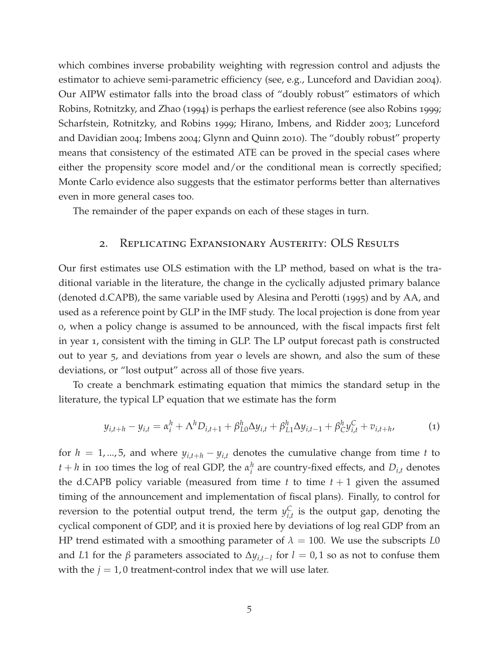which combines inverse probability weighting with regression control and adjusts the estimator to achieve semi-parametric efficiency (see, e.g., Lunceford and Davidian 2004). Our AIPW estimator falls into the broad class of "doubly robust" estimators of which Robins, Rotnitzky, and Zhao (1994) is perhaps the earliest reference (see also Robins 1999; Scharfstein, Rotnitzky, and Robins 1999; Hirano, Imbens, and Ridder 2003; Lunceford and Davidian 2004; Imbens 2004; Glynn and Quinn 2010). The "doubly robust" property means that consistency of the estimated ATE can be proved in the special cases where either the propensity score model and/or the conditional mean is correctly specified; Monte Carlo evidence also suggests that the estimator performs better than alternatives even in more general cases too.

The remainder of the paper expands on each of these stages in turn.

#### 2. Replicating Expansionary Austerity: OLS Results

Our first estimates use OLS estimation with the LP method, based on what is the traditional variable in the literature, the change in the cyclically adjusted primary balance (denoted d.CAPB), the same variable used by Alesina and Perotti (1995) and by AA, and used as a reference point by GLP in the IMF study. The local projection is done from year 0, when a policy change is assumed to be announced, with the fiscal impacts first felt in year 1, consistent with the timing in GLP. The LP output forecast path is constructed out to year 5, and deviations from year 0 levels are shown, and also the sum of these deviations, or "lost output" across all of those five years.

To create a benchmark estimating equation that mimics the standard setup in the literature, the typical LP equation that we estimate has the form

$$
y_{i,t+h} - y_{i,t} = \alpha_i^h + \Lambda^h D_{i,t+1} + \beta_{L0}^h \Delta y_{i,t} + \beta_{L1}^h \Delta y_{i,t-1} + \beta_C^h y_{i,t}^C + v_{i,t+h}
$$
(1)

for  $h = 1, ..., 5$ , and where  $y_{i,t+h} - y_{i,t}$  denotes the cumulative change from time *t* to  $t + h$  in 100 times the log of real GDP, the  $\alpha_i^h$  $\sum_{i}^{n}$  are country-fixed effects, and  $D_{i,t}$  denotes the d.CAPB policy variable (measured from time  $t$  to time  $t + 1$  given the assumed timing of the announcement and implementation of fiscal plans). Finally, to control for reversion to the potential output trend, the term  $y_i^C$  $\int_{i,t}^{C}$  is the output gap, denoting the cyclical component of GDP, and it is proxied here by deviations of log real GDP from an HP trend estimated with a smoothing parameter of  $\lambda = 100$ . We use the subscripts *L*0 and *L*1 for the *β* parameters associated to  $\Delta y_{i,t-1}$  for  $l = 0,1$  so as not to confuse them with the  $j = 1, 0$  treatment-control index that we will use later.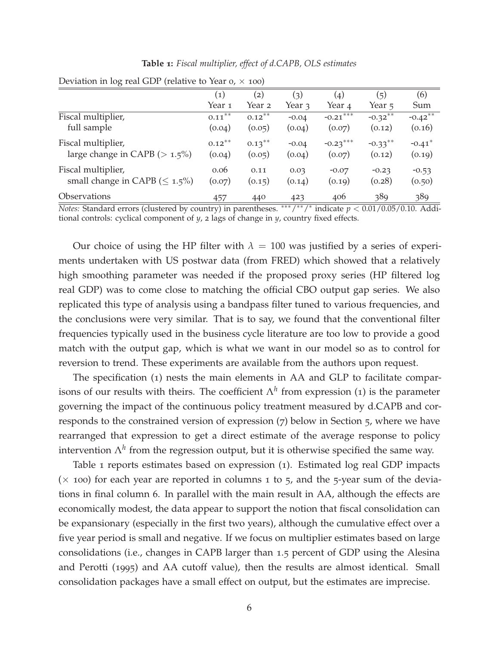| <b>Table 1:</b> Fiscal multiplier, effect of d.CAPB, OLS estimates |  |
|--------------------------------------------------------------------|--|
|--------------------------------------------------------------------|--|

|                                                           | $\left( 1\right)$   | $\left( 2\right)$   | (3)               | (4)                  | (5)                  | (6)                            |
|-----------------------------------------------------------|---------------------|---------------------|-------------------|----------------------|----------------------|--------------------------------|
|                                                           | Year 1              | Year 2              | Year 3            | Year 4               | Year 5               | Sum                            |
| Fiscal multiplier,                                        | $0.11***$           | $0.12***$           | $-0.04$           | $-0.21***$           | $-0.32***$           | $-0.42$ <sup>**</sup>          |
| full sample                                               | (0.04)              | (0.05)              | (0.04)            | (0.07)               | (0.12)               | (0.16)                         |
| Fiscal multiplier,<br>large change in CAPB ( $> 1.5\%$ )  | $0.12***$<br>(0.04) | $0.13***$<br>(0.05) | $-0.04$<br>(0.04) | $-0.23***$<br>(0.07) | $-0.33***$<br>(0.12) | $-0.41$ <sup>*</sup><br>(0.19) |
| Fiscal multiplier,<br>small change in CAPB ( $\leq$ 1.5%) | 0.06<br>(0.07)      | 0.11<br>(0.15)      | 0.03<br>(0.14)    | $-0.07$<br>(0.19)    | $-0.23$<br>(0.28)    | $-0.53$<br>(0.50)              |
| <b>Observations</b>                                       | 457                 | 440                 | 423               | 406                  | 389                  | 389                            |

Deviation in log real GDP (relative to Year  $o$ ,  $\times$  100)

*Notes:* Standard errors (clustered by country) in parentheses. ∗∗∗/ ∗∗/ ∗ indicate *p* < 0.01/0.05/0.10. Additional controls: cyclical component of *y*, 2 lags of change in *y*, country fixed effects.

Our choice of using the HP filter with  $\lambda = 100$  was justified by a series of experiments undertaken with US postwar data (from FRED) which showed that a relatively high smoothing parameter was needed if the proposed proxy series (HP filtered log real GDP) was to come close to matching the official CBO output gap series. We also replicated this type of analysis using a bandpass filter tuned to various frequencies, and the conclusions were very similar. That is to say, we found that the conventional filter frequencies typically used in the business cycle literature are too low to provide a good match with the output gap, which is what we want in our model so as to control for reversion to trend. These experiments are available from the authors upon request.

The specification (1) nests the main elements in AA and GLP to facilitate comparisons of our results with theirs. The coefficient  $\Lambda^h$  from expression (1) is the parameter governing the impact of the continuous policy treatment measured by d.CAPB and corresponds to the constrained version of expression (7) below in Section 5, where we have rearranged that expression to get a direct estimate of the average response to policy intervention  $\Lambda^h$  from the regression output, but it is otherwise specified the same way.

Table 1 reports estimates based on expression (1). Estimated log real GDP impacts  $(\times$  100) for each year are reported in columns 1 to 5, and the 5-year sum of the deviations in final column 6. In parallel with the main result in AA, although the effects are economically modest, the data appear to support the notion that fiscal consolidation can be expansionary (especially in the first two years), although the cumulative effect over a five year period is small and negative. If we focus on multiplier estimates based on large consolidations (i.e., changes in CAPB larger than 1.5 percent of GDP using the Alesina and Perotti (1995) and AA cutoff value), then the results are almost identical. Small consolidation packages have a small effect on output, but the estimates are imprecise.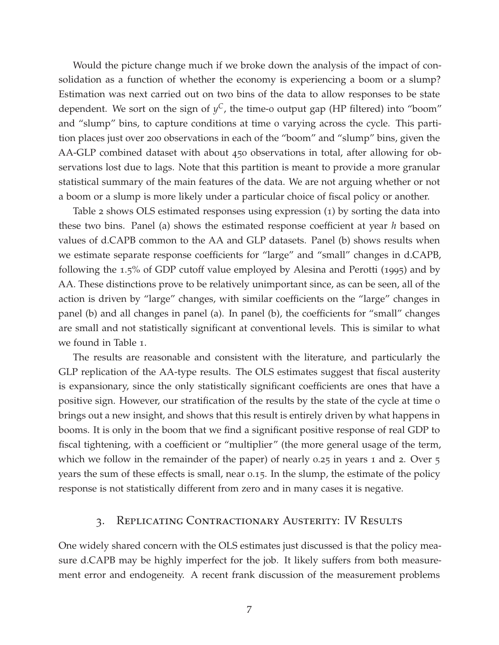Would the picture change much if we broke down the analysis of the impact of consolidation as a function of whether the economy is experiencing a boom or a slump? Estimation was next carried out on two bins of the data to allow responses to be state dependent. We sort on the sign of  $y^C$ , the time-o output gap (HP filtered) into "boom" and "slump" bins, to capture conditions at time o varying across the cycle. This partition places just over 200 observations in each of the "boom" and "slump" bins, given the AA-GLP combined dataset with about 450 observations in total, after allowing for observations lost due to lags. Note that this partition is meant to provide a more granular statistical summary of the main features of the data. We are not arguing whether or not a boom or a slump is more likely under a particular choice of fiscal policy or another.

Table 2 shows OLS estimated responses using expression (1) by sorting the data into these two bins. Panel (a) shows the estimated response coefficient at year *h* based on values of d.CAPB common to the AA and GLP datasets. Panel (b) shows results when we estimate separate response coefficients for "large" and "small" changes in d.CAPB, following the 1.5% of GDP cutoff value employed by Alesina and Perotti (1995) and by AA. These distinctions prove to be relatively unimportant since, as can be seen, all of the action is driven by "large" changes, with similar coefficients on the "large" changes in panel (b) and all changes in panel (a). In panel (b), the coefficients for "small" changes are small and not statistically significant at conventional levels. This is similar to what we found in Table 1.

The results are reasonable and consistent with the literature, and particularly the GLP replication of the AA-type results. The OLS estimates suggest that fiscal austerity is expansionary, since the only statistically significant coefficients are ones that have a positive sign. However, our stratification of the results by the state of the cycle at time 0 brings out a new insight, and shows that this result is entirely driven by what happens in booms. It is only in the boom that we find a significant positive response of real GDP to fiscal tightening, with a coefficient or "multiplier" (the more general usage of the term, which we follow in the remainder of the paper) of nearly 0.25 in years 1 and 2. Over 5 years the sum of these effects is small, near 0.15. In the slump, the estimate of the policy response is not statistically different from zero and in many cases it is negative.

## 3. Replicating Contractionary Austerity: IV Results

One widely shared concern with the OLS estimates just discussed is that the policy measure d.CAPB may be highly imperfect for the job. It likely suffers from both measurement error and endogeneity. A recent frank discussion of the measurement problems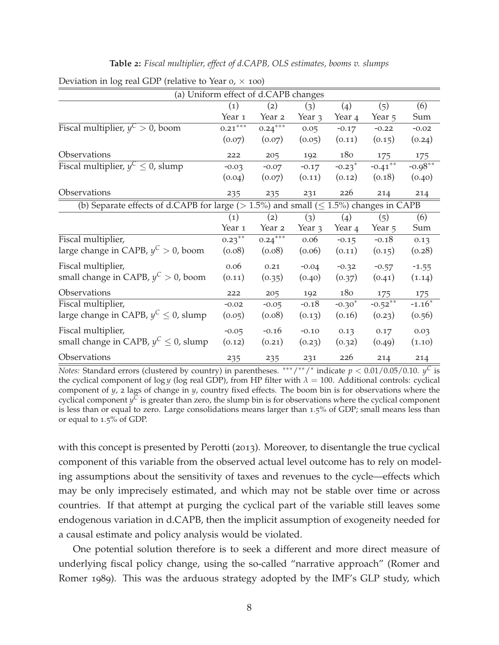| <b>Table 2:</b> Fiscal multiplier, effect of d.CAPB, OLS estimates, booms v. slumps |  |  |  |  |  |  |  |
|-------------------------------------------------------------------------------------|--|--|--|--|--|--|--|
|-------------------------------------------------------------------------------------|--|--|--|--|--|--|--|

| $\circ$                                                                                           |                   |           |         |                      |            |           |
|---------------------------------------------------------------------------------------------------|-------------------|-----------|---------|----------------------|------------|-----------|
| (a) Uniform effect of d.CAPB changes                                                              |                   |           |         |                      |            |           |
|                                                                                                   | (1)               | (2)       | (3)     | (4)                  | (5)        | (6)       |
|                                                                                                   | Year 1            | Year 2    | Year 3  | Year 4               | Year 5     | Sum       |
| Fiscal multiplier, $y^C > 0$ , boom                                                               | $0.21***$         | $0.24***$ | 0.05    | $-0.17$              | $-0.22$    | $-0.02$   |
|                                                                                                   | (0.07)            | (0.07)    | (0.05)  | (0.11)               | (0.15)     | (0.24)    |
| Observations                                                                                      | 222               | 205       | 192     | 180                  | 175        | 175       |
| Fiscal multiplier, $y^C \leq 0$ , slump                                                           | $-0.03$           | $-0.07$   | $-0.17$ | $-0.23$ <sup>*</sup> | $-0.41***$ | $-0.98**$ |
|                                                                                                   | (0.04)            | (0.07)    | (0.11)  | (0.12)               | (0.18)     | (0.40)    |
| Observations                                                                                      | 235               | 235       | 231     | 226                  | 214        | 214       |
| (b) Separate effects of d.CAPB for large ( $> 1.5\%$ ) and small ( $\leq 1.5\%$ ) changes in CAPB |                   |           |         |                      |            |           |
|                                                                                                   | $\left( 1\right)$ | (2)       | (3)     | (4)                  | (5)        | (6)       |
|                                                                                                   | Year 1            | Year 2    | Year 3  | Year 4               | Year 5     | Sum       |
| Fiscal multiplier,                                                                                | $0.23***$         | $0.24***$ | 0.06    | $-0.15$              | $-0.18$    | 0.13      |
| large change in CAPB, $y^C > 0$ , boom                                                            | (0.08)            | (0.08)    | (0.06)  | (0.11)               | (0.15)     | (0.28)    |
| Fiscal multiplier,                                                                                | 0.06              | 0.21      | $-0.04$ | $-0.32$              | $-0.57$    | $-1.55$   |
| small change in CAPB, $y^C > 0$ , boom                                                            | (0.11)            | (0.35)    | (0.40)  | (0.37)               | (0.41)     | (1.14)    |
| Observations                                                                                      | 222               | 205       | 192     | 180                  | 175        | 175       |
| Fiscal multiplier,                                                                                | $-0.02$           | $-0.05$   | $-0.18$ | $-0.30*$             | $-0.52***$ | $-1.16*$  |
| large change in CAPB, $y^C \leq 0$ , slump                                                        | (0.05)            | (0.08)    | (0.13)  | (0.16)               | (0.23)     | (0.56)    |
| Fiscal multiplier,                                                                                | $-0.05$           | $-0.16$   | $-0.10$ | 0.13                 | 0.17       | 0.03      |
| small change in CAPB, $y^C \leq 0$ , slump                                                        | (0.12)            | (0.21)    | (0.23)  | (0.32)               | (0.49)     | (1.10)    |
| Observations                                                                                      | 235               | 235       | 231     | 226                  | 214        | 214       |

| Deviation in log real GDP (relative to Year o, $\times$ 100) |  |
|--------------------------------------------------------------|--|
|--------------------------------------------------------------|--|

*Notes:* Standard errors (clustered by country) in parentheses. \*\*\*/\*\*/\* indicate  $p < 0.01/0.05/0.10$ .  $y^C$  is the cyclical component of log *y* (log real GDP), from HP filter with  $\lambda = 100$ . Additional controls: cyclical component of *y*, 2 lags of change in *y*, country fixed effects. The boom bin is for observations where the cyclical component *y <sup>C</sup>* is greater than zero, the slump bin is for observations where the cyclical component is less than or equal to zero. Large consolidations means larger than 1.5% of GDP; small means less than or equal to 1.5% of GDP.

with this concept is presented by Perotti (2013). Moreover, to disentangle the true cyclical component of this variable from the observed actual level outcome has to rely on modeling assumptions about the sensitivity of taxes and revenues to the cycle—effects which may be only imprecisely estimated, and which may not be stable over time or across countries. If that attempt at purging the cyclical part of the variable still leaves some endogenous variation in d.CAPB, then the implicit assumption of exogeneity needed for a causal estimate and policy analysis would be violated.

One potential solution therefore is to seek a different and more direct measure of underlying fiscal policy change, using the so-called "narrative approach" (Romer and Romer 1989). This was the arduous strategy adopted by the IMF's GLP study, which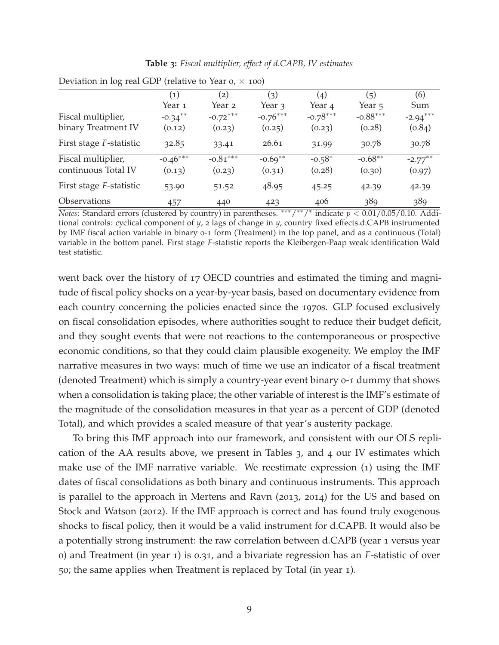**Table 3:** *Fiscal multiplier, effect of d.CAPB, IV estimates*

|                                 | $\left( 1\right)$ | (2)        | (3)        | (4)        | (5)        | (6)        |
|---------------------------------|-------------------|------------|------------|------------|------------|------------|
|                                 | Year 1            | Year 2     | Year 3     | Year 4     | Year 5     | Sum        |
| Fiscal multiplier,              | $-0.34***$        | $-0.72***$ | $-0.76***$ | $-0.78***$ | $-0.88***$ | $-2.94***$ |
| binary Treatment IV             | (0.12)            | (0.23)     | (0.25)     | (0.23)     | (0.28)     | (0.84)     |
| First stage <i>F</i> -statistic | 32.85             | 33.41      | 26.61      | 31.99      | 30.78      | 30.78      |
| Fiscal multiplier,              | $-0.46***$        | $-0.81***$ | $-0.69**$  | $-0.58*$   | $-0.68**$  | $-2.77***$ |
| continuous Total IV             | (0.13)            | (0.23)     | (0.31)     | (0.28)     | (0.30)     | (0.97)     |
| First stage F-statistic         | 53.90             | 51.52      | 48.95      | 45.25      | 42.39      | 42.39      |
| <i><b>Observations</b></i>      | 457               | 440        | 423        | 406        | 389        | 389        |

Deviation in log real GDP (relative to Year  $o$ ,  $\times$  100)

*Notes:* Standard errors (clustered by country) in parentheses. ∗∗∗/ ∗∗/ ∗ indicate *p* < 0.01/0.05/0.10. Additional controls: cyclical component of *y*, 2 lags of change in *y*, country fixed effects.d.CAPB instrumented by IMF fiscal action variable in binary 0-1 form (Treatment) in the top panel, and as a continuous (Total) variable in the bottom panel. First stage *F*-statistic reports the Kleibergen-Paap weak identification Wald test statistic.

went back over the history of 17 OECD countries and estimated the timing and magnitude of fiscal policy shocks on a year-by-year basis, based on documentary evidence from each country concerning the policies enacted since the 1970s. GLP focused exclusively on fiscal consolidation episodes, where authorities sought to reduce their budget deficit, and they sought events that were not reactions to the contemporaneous or prospective economic conditions, so that they could claim plausible exogeneity. We employ the IMF narrative measures in two ways: much of time we use an indicator of a fiscal treatment (denoted Treatment) which is simply a country-year event binary 0-1 dummy that shows when a consolidation is taking place; the other variable of interest is the IMF's estimate of the magnitude of the consolidation measures in that year as a percent of GDP (denoted Total), and which provides a scaled measure of that year's austerity package.

To bring this IMF approach into our framework, and consistent with our OLS replication of the AA results above, we present in Tables 3, and 4 our IV estimates which make use of the IMF narrative variable. We reestimate expression (1) using the IMF dates of fiscal consolidations as both binary and continuous instruments. This approach is parallel to the approach in Mertens and Ravn (2013, 2014) for the US and based on Stock and Watson (2012). If the IMF approach is correct and has found truly exogenous shocks to fiscal policy, then it would be a valid instrument for d.CAPB. It would also be a potentially strong instrument: the raw correlation between d.CAPB (year 1 versus year 0) and Treatment (in year 1) is 0.31, and a bivariate regression has an *F*-statistic of over 50; the same applies when Treatment is replaced by Total (in year 1).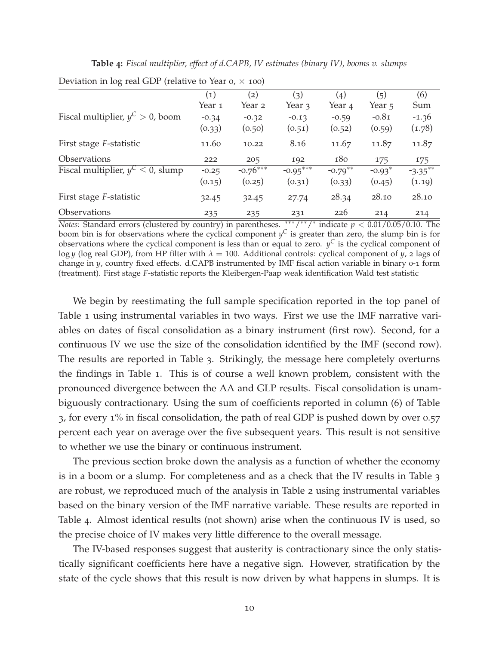| Deviation in log real GDP (relative to Year $o$ , $\times$ 100) |                   |            |            |                   |          |            |
|-----------------------------------------------------------------|-------------------|------------|------------|-------------------|----------|------------|
|                                                                 | $\left( 1\right)$ | (2)        | (3)        | $\left( 4\right)$ | (5)      | (6)        |
|                                                                 | Year 1            | Year 2     | Year 3     | Year 4            | Year 5   | Sum        |
| Fiscal multiplier, $y^C > 0$ , boom                             | $-0.34$           | $-0.32$    | $-0.13$    | $-0.59$           | $-0.81$  | $-1.36$    |
|                                                                 | (0.33)            | (0.50)     | (0.51)     | (0.52)            | (0.59)   | (1.78)     |
| First stage <i>F</i> -statistic                                 | 11.60             | 10.22      | 8.16       | 11.67             | 11.87    | 11.87      |
| Observations                                                    | 222               | 205        | 192        | 180               | 175      | 175        |
| Fiscal multiplier, $y^C \leq 0$ , slump                         | $-0.25$           | $-0.76***$ | $-0.95***$ | $-0.79***$        | $-0.93*$ | $-3.35***$ |
|                                                                 | (0.15)            | (0.25)     | (0.31)     | (0.33)            | (0.45)   | (1.19)     |
| First stage <i>F</i> -statistic                                 | 32.45             | 32.45      | 27.74      | 28.34             | 28.10    | 28.10      |
| <b>Observations</b>                                             | 235               | 235        | 231        | 226               | 214      | 214        |

**Table 4:** *Fiscal multiplier, effect of d.CAPB, IV estimates (binary IV), booms v. slumps*

*Notes:* Standard errors (clustered by country) in parentheses. ∗∗∗/ ∗∗/ ∗ indicate *p* < 0.01/0.05/0.10. The boom bin is for observations where the cyclical component  $y^C$  is greater than zero, the slump bin is for observations where the cyclical component is less than or equal to zero.  $y^C$  is the cyclical component of log *y* (log real GDP), from HP filter with  $\lambda = 100$ . Additional controls: cyclical component of *y*, 2 lags of change in *y*, country fixed effects. d.CAPB instrumented by IMF fiscal action variable in binary 0-1 form (treatment). First stage *F*-statistic reports the Kleibergen-Paap weak identification Wald test statistic

We begin by reestimating the full sample specification reported in the top panel of Table 1 using instrumental variables in two ways. First we use the IMF narrative variables on dates of fiscal consolidation as a binary instrument (first row). Second, for a continuous IV we use the size of the consolidation identified by the IMF (second row). The results are reported in Table 3. Strikingly, the message here completely overturns the findings in Table 1. This is of course a well known problem, consistent with the pronounced divergence between the AA and GLP results. Fiscal consolidation is unambiguously contractionary. Using the sum of coefficients reported in column (6) of Table 3, for every 1% in fiscal consolidation, the path of real GDP is pushed down by over 0.57 percent each year on average over the five subsequent years. This result is not sensitive to whether we use the binary or continuous instrument.

The previous section broke down the analysis as a function of whether the economy is in a boom or a slump. For completeness and as a check that the IV results in Table 3 are robust, we reproduced much of the analysis in Table 2 using instrumental variables based on the binary version of the IMF narrative variable. These results are reported in Table 4. Almost identical results (not shown) arise when the continuous IV is used, so the precise choice of IV makes very little difference to the overall message.

The IV-based responses suggest that austerity is contractionary since the only statistically significant coefficients here have a negative sign. However, stratification by the state of the cycle shows that this result is now driven by what happens in slumps. It is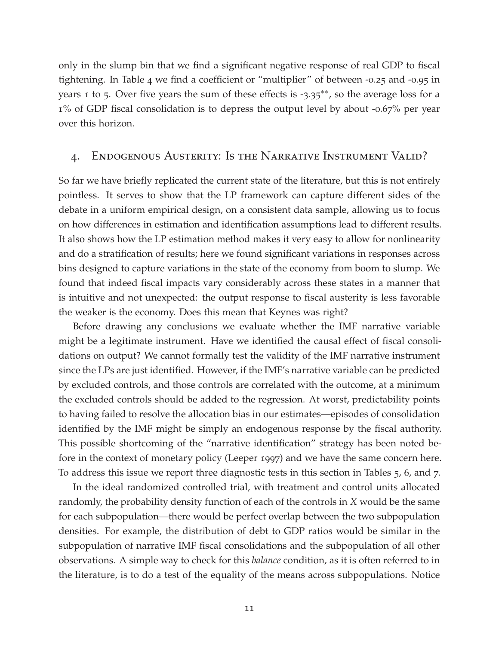only in the slump bin that we find a significant negative response of real GDP to fiscal tightening. In Table 4 we find a coefficient or "multiplier" of between -0.25 and -0.95 in years 1 to 5. Over five years the sum of these effects is -3.35<sup>\*\*</sup>, so the average loss for a  $1\%$  of GDP fiscal consolidation is to depress the output level by about -0.67% per year over this horizon.

## ENDOGENOUS AUSTERITY: IS THE NARRATIVE INSTRUMENT VALID?

So far we have briefly replicated the current state of the literature, but this is not entirely pointless. It serves to show that the LP framework can capture different sides of the debate in a uniform empirical design, on a consistent data sample, allowing us to focus on how differences in estimation and identification assumptions lead to different results. It also shows how the LP estimation method makes it very easy to allow for nonlinearity and do a stratification of results; here we found significant variations in responses across bins designed to capture variations in the state of the economy from boom to slump. We found that indeed fiscal impacts vary considerably across these states in a manner that is intuitive and not unexpected: the output response to fiscal austerity is less favorable the weaker is the economy. Does this mean that Keynes was right?

Before drawing any conclusions we evaluate whether the IMF narrative variable might be a legitimate instrument. Have we identified the causal effect of fiscal consolidations on output? We cannot formally test the validity of the IMF narrative instrument since the LPs are just identified. However, if the IMF's narrative variable can be predicted by excluded controls, and those controls are correlated with the outcome, at a minimum the excluded controls should be added to the regression. At worst, predictability points to having failed to resolve the allocation bias in our estimates—episodes of consolidation identified by the IMF might be simply an endogenous response by the fiscal authority. This possible shortcoming of the "narrative identification" strategy has been noted before in the context of monetary policy (Leeper 1997) and we have the same concern here. To address this issue we report three diagnostic tests in this section in Tables 5, 6, and 7.

In the ideal randomized controlled trial, with treatment and control units allocated randomly, the probability density function of each of the controls in *X* would be the same for each subpopulation—there would be perfect overlap between the two subpopulation densities. For example, the distribution of debt to GDP ratios would be similar in the subpopulation of narrative IMF fiscal consolidations and the subpopulation of all other observations. A simple way to check for this *balance* condition, as it is often referred to in the literature, is to do a test of the equality of the means across subpopulations. Notice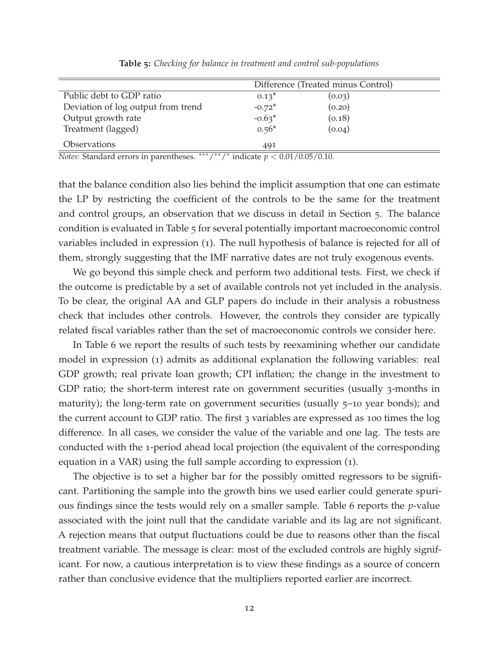|                                                                                              | Difference (Treated minus Control) |        |  |  |  |
|----------------------------------------------------------------------------------------------|------------------------------------|--------|--|--|--|
| Public debt to GDP ratio                                                                     | $0.13*$                            | (0.03) |  |  |  |
| Deviation of log output from trend                                                           | $-0.72$ <sup>*</sup>               | (0.20) |  |  |  |
| Output growth rate                                                                           | $-0.63*$                           | (0.18) |  |  |  |
| Treatment (lagged)                                                                           | $0.56*$                            | (0.04) |  |  |  |
| <i><b>Observations</b></i>                                                                   | 491                                |        |  |  |  |
| Notes, Chandaud eurons in nouentheces, $***$ $/*$ $/*$ indicate $n \times 0.01$ (0.05 (0.10) |                                    |        |  |  |  |

**Table 5:** *Checking for balance in treatment and control sub-populations*

*Notes:* Standard errors in parentheses. ∗∗/ ∗ indicate *p* < 0.01/0.05/0.10.

that the balance condition also lies behind the implicit assumption that one can estimate the LP by restricting the coefficient of the controls to be the same for the treatment and control groups, an observation that we discuss in detail in Section 5. The balance condition is evaluated in Table 5 for several potentially important macroeconomic control variables included in expression (1). The null hypothesis of balance is rejected for all of them, strongly suggesting that the IMF narrative dates are not truly exogenous events.

We go beyond this simple check and perform two additional tests. First, we check if the outcome is predictable by a set of available controls not yet included in the analysis. To be clear, the original AA and GLP papers do include in their analysis a robustness check that includes other controls. However, the controls they consider are typically related fiscal variables rather than the set of macroeconomic controls we consider here.

In Table 6 we report the results of such tests by reexamining whether our candidate model in expression (1) admits as additional explanation the following variables: real GDP growth; real private loan growth; CPI inflation; the change in the investment to GDP ratio; the short-term interest rate on government securities (usually 3-months in maturity); the long-term rate on government securities (usually 5–10 year bonds); and the current account to GDP ratio. The first 3 variables are expressed as 100 times the log difference. In all cases, we consider the value of the variable and one lag. The tests are conducted with the 1-period ahead local projection (the equivalent of the corresponding equation in a VAR) using the full sample according to expression (1).

The objective is to set a higher bar for the possibly omitted regressors to be significant. Partitioning the sample into the growth bins we used earlier could generate spurious findings since the tests would rely on a smaller sample. Table 6 reports the *p*-value associated with the joint null that the candidate variable and its lag are not significant. A rejection means that output fluctuations could be due to reasons other than the fiscal treatment variable. The message is clear: most of the excluded controls are highly significant. For now, a cautious interpretation is to view these findings as a source of concern rather than conclusive evidence that the multipliers reported earlier are incorrect.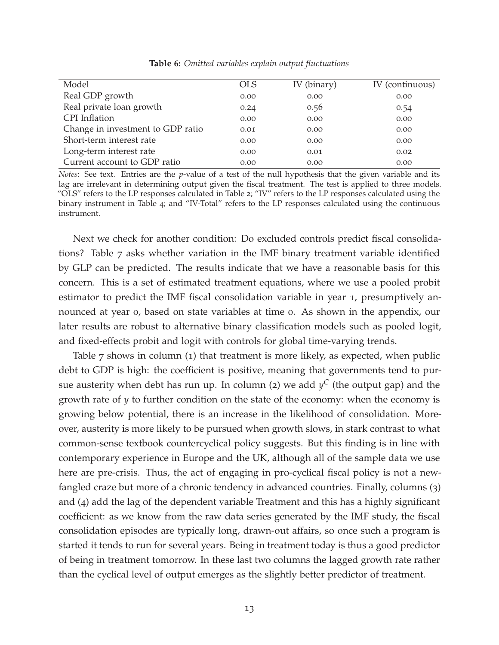| Model                             | OLS  | IV (binary) | IV (continuous) |
|-----------------------------------|------|-------------|-----------------|
| Real GDP growth                   | 0.00 | 0.00        | 0.00            |
| Real private loan growth          | 0.24 | 0.56        | 0.54            |
| <b>CPI</b> Inflation              | 0.00 | 0.00        | 0.00            |
| Change in investment to GDP ratio | 0.01 | 0.00        | 0.00            |
| Short-term interest rate          | 0.00 | 0.00        | 0.00            |
| Long-term interest rate           | 0.00 | 0.01        | 0.02            |
| Current account to GDP ratio      | 0.00 | 0.00        | 0.00            |

**Table 6:** *Omitted variables explain output fluctuations*

*Notes*: See text. Entries are the *p*-value of a test of the null hypothesis that the given variable and its lag are irrelevant in determining output given the fiscal treatment. The test is applied to three models. "OLS" refers to the LP responses calculated in Table 2; "IV" refers to the LP responses calculated using the binary instrument in Table 4; and "IV-Total" refers to the LP responses calculated using the continuous instrument.

Next we check for another condition: Do excluded controls predict fiscal consolidations? Table 7 asks whether variation in the IMF binary treatment variable identified by GLP can be predicted. The results indicate that we have a reasonable basis for this concern. This is a set of estimated treatment equations, where we use a pooled probit estimator to predict the IMF fiscal consolidation variable in year 1, presumptively announced at year 0, based on state variables at time 0. As shown in the appendix, our later results are robust to alternative binary classification models such as pooled logit, and fixed-effects probit and logit with controls for global time-varying trends.

Table 7 shows in column (1) that treatment is more likely, as expected, when public debt to GDP is high: the coefficient is positive, meaning that governments tend to pursue austerity when debt has run up. In column (2) we add  $y^{\mathsf{C}}$  (the output gap) and the growth rate of *y* to further condition on the state of the economy: when the economy is growing below potential, there is an increase in the likelihood of consolidation. Moreover, austerity is more likely to be pursued when growth slows, in stark contrast to what common-sense textbook countercyclical policy suggests. But this finding is in line with contemporary experience in Europe and the UK, although all of the sample data we use here are pre-crisis. Thus, the act of engaging in pro-cyclical fiscal policy is not a newfangled craze but more of a chronic tendency in advanced countries. Finally, columns (3) and (4) add the lag of the dependent variable Treatment and this has a highly significant coefficient: as we know from the raw data series generated by the IMF study, the fiscal consolidation episodes are typically long, drawn-out affairs, so once such a program is started it tends to run for several years. Being in treatment today is thus a good predictor of being in treatment tomorrow. In these last two columns the lagged growth rate rather than the cyclical level of output emerges as the slightly better predictor of treatment.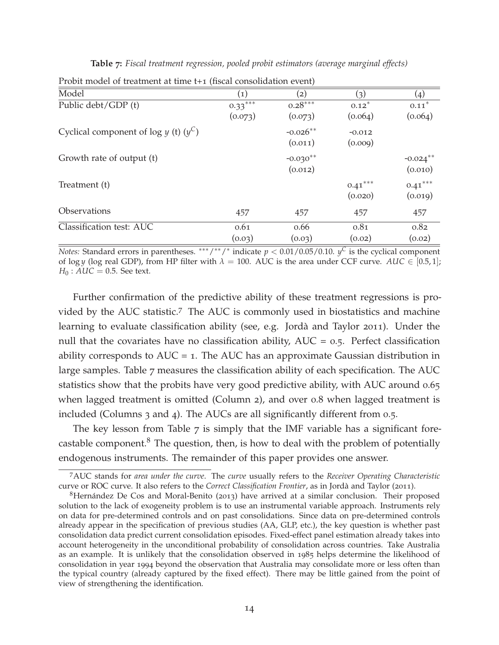| $\left( 1\right)$ | $\left( 2\right)$ | (3)      | (4)                    |
|-------------------|-------------------|----------|------------------------|
| $0.33***$         | $0.28***$         | $0.12*$  | $0.11*$                |
| (0.073)           | (0.073)           | (0.064)  | (0.064)                |
|                   | $-0.026**$        | $-0.012$ |                        |
|                   | (0.011)           | (0.009)  |                        |
|                   | $-0.030**$        |          | $-0.024$ <sup>**</sup> |
|                   | (0.012)           |          | (0.010)                |
|                   |                   |          | $0.41***$              |
|                   |                   | (0.020)  | (0.019)                |
| 457               | 457               | 457      | 457                    |
| 0.61              | 0.66              | 0.81     | 0.82                   |
| (0.03)            | (0.03)            | (0.02)   | (0.02)                 |
|                   |                   |          | $0.41***$              |

**Table 7:** *Fiscal treatment regression, pooled probit estimators (average marginal effects)*

| Probit model of treatment at time t+1 (fiscal consolidation event) |  |
|--------------------------------------------------------------------|--|
|--------------------------------------------------------------------|--|

*Notes:* Standard errors in parentheses. \*\*\*/\*\*/\* indicate  $p < 0.01/0.05/0.10$ . *y*<sup>C</sup> is the cyclical component of log *y* (log real GDP), from HP filter with  $\lambda = 100$ . AUC is the area under CCF curve. *AUC* ∈ [0.5, 1]; *H*<sup>0</sup> : *AUC* = 0.5. See text.

Further confirmation of the predictive ability of these treatment regressions is provided by the AUC statistic.<sup>7</sup> The AUC is commonly used in biostatistics and machine learning to evaluate classification ability (see, e.g. Jordà and Taylor 2011). Under the null that the covariates have no classification ability,  $AUC = 0.5$ . Perfect classification ability corresponds to  $AUC = 1$ . The  $AUC$  has an approximate Gaussian distribution in large samples. Table 7 measures the classification ability of each specification. The AUC statistics show that the probits have very good predictive ability, with AUC around 0.65 when lagged treatment is omitted (Column 2), and over 0.8 when lagged treatment is included (Columns 3 and 4). The AUCs are all significantly different from 0.5.

The key lesson from Table 7 is simply that the IMF variable has a significant forecastable component. $8$  The question, then, is how to deal with the problem of potentially endogenous instruments. The remainder of this paper provides one answer.

<sup>7</sup>AUC stands for *area under the curve*. The *curve* usually refers to the *Receiver Operating Characteristic* curve or ROC curve. It also refers to the *Correct Classification Frontier*, as in Jordà and Taylor (2011).

 ${}^{8}$ Hernández De Cos and Moral-Benito (2013) have arrived at a similar conclusion. Their proposed solution to the lack of exogeneity problem is to use an instrumental variable approach. Instruments rely on data for pre-determined controls and on past consolidations. Since data on pre-determined controls already appear in the specification of previous studies (AA, GLP, etc.), the key question is whether past consolidation data predict current consolidation episodes. Fixed-effect panel estimation already takes into account heterogeneity in the unconditional probability of consolidation across countries. Take Australia as an example. It is unlikely that the consolidation observed in 1985 helps determine the likelihood of consolidation in year 1994 beyond the observation that Australia may consolidate more or less often than the typical country (already captured by the fixed effect). There may be little gained from the point of view of strengthening the identification.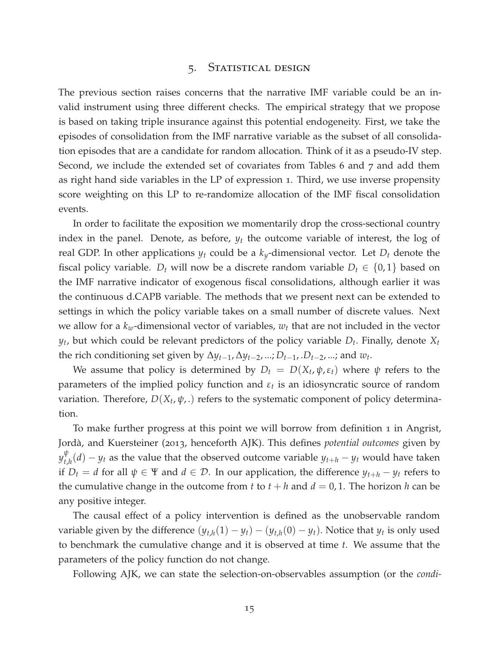## 5. STATISTICAL DESIGN

The previous section raises concerns that the narrative IMF variable could be an invalid instrument using three different checks. The empirical strategy that we propose is based on taking triple insurance against this potential endogeneity. First, we take the episodes of consolidation from the IMF narrative variable as the subset of all consolidation episodes that are a candidate for random allocation. Think of it as a pseudo-IV step. Second, we include the extended set of covariates from Tables 6 and 7 and add them as right hand side variables in the LP of expression 1. Third, we use inverse propensity score weighting on this LP to re-randomize allocation of the IMF fiscal consolidation events.

In order to facilitate the exposition we momentarily drop the cross-sectional country index in the panel. Denote, as before, *y<sup>t</sup>* the outcome variable of interest, the log of real GDP. In other applications  $y_t$  could be a  $k_y$ -dimensional vector. Let  $D_t$  denote the fiscal policy variable. *D*<sup>*t*</sup> will now be a discrete random variable  $D_t \in \{0,1\}$  based on the IMF narrative indicator of exogenous fiscal consolidations, although earlier it was the continuous d.CAPB variable. The methods that we present next can be extended to settings in which the policy variable takes on a small number of discrete values. Next we allow for a *kw*-dimensional vector of variables, *w<sup>t</sup>* that are not included in the vector *yt* , but which could be relevant predictors of the policy variable *D<sup>t</sup>* . Finally, denote *X<sup>t</sup>* the rich conditioning set given by  $\Delta y_{t-1}$ ,  $\Delta y_{t-2}$ , ...;  $D_{t-1}$ , . $D_{t-2}$ , ...; and  $w_t$ .

We assume that policy is determined by  $D_t = D(X_t, \psi, \varepsilon_t)$  where  $\psi$  refers to the parameters of the implied policy function and *ε<sup>t</sup>* is an idiosyncratic source of random variation. Therefore,  $D(X_t, \psi)$ , refers to the systematic component of policy determination.

To make further progress at this point we will borrow from definition 1 in Angrist, Jordà, and Kuersteiner (2013, henceforth AJK). This defines *potential outcomes* given by *y ψ t*<sup>γ</sup><sub>*t*</sub>*h*(*d*) − *y*<sup>*t*</sup> as the value that the observed outcome variable  $y$ <sub>*t*+*h*</sub> − *y*<sup>*t*</sup> would have taken if *D*<sup>*t*</sup> = *d* for all  $\psi$  ∈ Ψ and *d* ∈ *D*. In our application, the difference  $y$ <sup>*t*+*h*</sub> − *yt* refers to</sup> the cumulative change in the outcome from *t* to  $t + h$  and  $d = 0, 1$ . The horizon *h* can be any positive integer.

The causal effect of a policy intervention is defined as the unobservable random variable given by the difference  $(y_{t,h}(1) - y_t) - (y_{t,h}(0) - y_t)$ . Notice that  $y_t$  is only used to benchmark the cumulative change and it is observed at time *t*. We assume that the parameters of the policy function do not change.

Following AJK, we can state the selection-on-observables assumption (or the *condi-*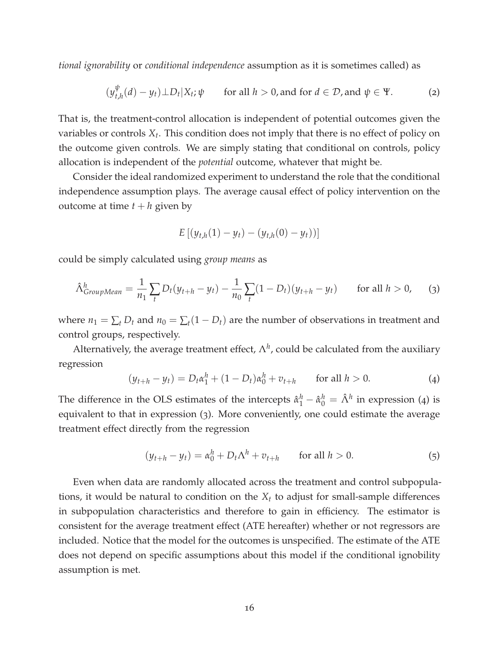*tional ignorability* or *conditional independence* assumption as it is sometimes called) as

$$
(y_{t,h}^{\psi}(d) - y_t) \perp D_t | X_t; \psi \qquad \text{for all } h > 0 \text{, and for } d \in \mathcal{D} \text{, and } \psi \in \Psi. \tag{2}
$$

That is, the treatment-control allocation is independent of potential outcomes given the variables or controls *X<sup>t</sup>* . This condition does not imply that there is no effect of policy on the outcome given controls. We are simply stating that conditional on controls, policy allocation is independent of the *potential* outcome, whatever that might be.

Consider the ideal randomized experiment to understand the role that the conditional independence assumption plays. The average causal effect of policy intervention on the outcome at time  $t + h$  given by

$$
E [(y_{t,h}(1) - y_t) - (y_{t,h}(0) - y_t))]
$$

could be simply calculated using *group means* as

$$
\hat{\Lambda}_{GroupMean}^h = \frac{1}{n_1} \sum_t D_t (y_{t+h} - y_t) - \frac{1}{n_0} \sum_t (1 - D_t) (y_{t+h} - y_t) \quad \text{for all } h > 0,
$$
 (3)

where  $n_1 = \sum_t D_t$  and  $n_0 = \sum_t (1 - D_t)$  are the number of observations in treatment and control groups, respectively.

Alternatively, the average treatment effect,  $\Lambda^h$ , could be calculated from the auxiliary regression

$$
(y_{t+h} - y_t) = D_t \alpha_1^h + (1 - D_t) \alpha_0^h + v_{t+h} \quad \text{for all } h > 0.
$$
 (4)

The difference in the OLS estimates of the intercepts  $\hat{\alpha}_1^h - \hat{\alpha}_0^h = \hat{\Lambda}^h$  in expression (4) is equivalent to that in expression (3). More conveniently, one could estimate the average treatment effect directly from the regression

$$
(y_{t+h} - y_t) = \alpha_0^h + D_t \Lambda^h + v_{t+h} \qquad \text{for all } h > 0.
$$
 (5)

Even when data are randomly allocated across the treatment and control subpopulations, it would be natural to condition on the  $X_t$  to adjust for small-sample differences in subpopulation characteristics and therefore to gain in efficiency. The estimator is consistent for the average treatment effect (ATE hereafter) whether or not regressors are included. Notice that the model for the outcomes is unspecified. The estimate of the ATE does not depend on specific assumptions about this model if the conditional ignobility assumption is met.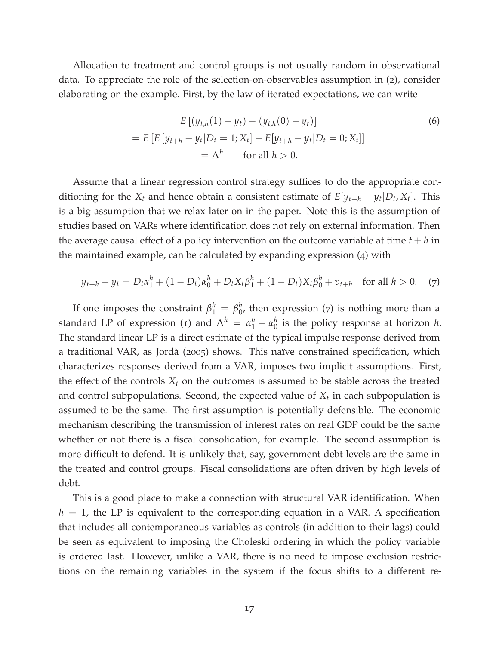Allocation to treatment and control groups is not usually random in observational data. To appreciate the role of the selection-on-observables assumption in (2), consider elaborating on the example. First, by the law of iterated expectations, we can write

$$
E [(y_{t,h}(1) - y_t) - (y_{t,h}(0) - y_t)]
$$
  
= 
$$
E [E [y_{t+h} - y_t | D_t = 1; X_t] - E [y_{t+h} - y_t | D_t = 0; X_t]]
$$
  
= 
$$
\Lambda^h \quad \text{for all } h > 0.
$$
 (6)

Assume that a linear regression control strategy suffices to do the appropriate conditioning for the  $X_t$  and hence obtain a consistent estimate of  $E[y_{t+h} - y_t | D_t, X_t]$ . This is a big assumption that we relax later on in the paper. Note this is the assumption of studies based on VARs where identification does not rely on external information. Then the average causal effect of a policy intervention on the outcome variable at time  $t + h$  in the maintained example, can be calculated by expanding expression (4) with

$$
y_{t+h} - y_t = D_t \alpha_1^h + (1 - D_t) \alpha_0^h + D_t X_t \beta_1^h + (1 - D_t) X_t \beta_0^h + v_{t+h} \quad \text{for all } h > 0.
$$
 (7)

If one imposes the constraint  $\beta_1^h = \beta_0^h$  $\int_0^h$ , then expression (7) is nothing more than a standard LP of expression (1) and  $\Lambda^h = \alpha_1^h - \alpha_0^h$  $\frac{h}{0}$  is the policy response at horizon *h*. The standard linear LP is a direct estimate of the typical impulse response derived from a traditional VAR, as Jordà (2005) shows. This naïve constrained specification, which characterizes responses derived from a VAR, imposes two implicit assumptions. First, the effect of the controls  $X_t$  on the outcomes is assumed to be stable across the treated and control subpopulations. Second, the expected value of *X<sup>t</sup>* in each subpopulation is assumed to be the same. The first assumption is potentially defensible. The economic mechanism describing the transmission of interest rates on real GDP could be the same whether or not there is a fiscal consolidation, for example. The second assumption is more difficult to defend. It is unlikely that, say, government debt levels are the same in the treated and control groups. Fiscal consolidations are often driven by high levels of debt.

This is a good place to make a connection with structural VAR identification. When  $h = 1$ , the LP is equivalent to the corresponding equation in a VAR. A specification that includes all contemporaneous variables as controls (in addition to their lags) could be seen as equivalent to imposing the Choleski ordering in which the policy variable is ordered last. However, unlike a VAR, there is no need to impose exclusion restrictions on the remaining variables in the system if the focus shifts to a different re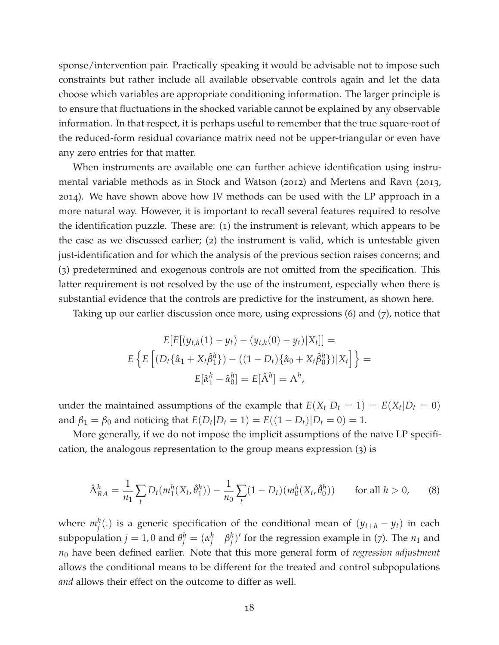sponse/intervention pair. Practically speaking it would be advisable not to impose such constraints but rather include all available observable controls again and let the data choose which variables are appropriate conditioning information. The larger principle is to ensure that fluctuations in the shocked variable cannot be explained by any observable information. In that respect, it is perhaps useful to remember that the true square-root of the reduced-form residual covariance matrix need not be upper-triangular or even have any zero entries for that matter.

When instruments are available one can further achieve identification using instrumental variable methods as in Stock and Watson (2012) and Mertens and Ravn (2013, 2014). We have shown above how IV methods can be used with the LP approach in a more natural way. However, it is important to recall several features required to resolve the identification puzzle. These are: (1) the instrument is relevant, which appears to be the case as we discussed earlier; (2) the instrument is valid, which is untestable given just-identification and for which the analysis of the previous section raises concerns; and (3) predetermined and exogenous controls are not omitted from the specification. This latter requirement is not resolved by the use of the instrument, especially when there is substantial evidence that the controls are predictive for the instrument, as shown here.

Taking up our earlier discussion once more, using expressions (6) and (7), notice that

$$
E[E[(y_{t,h}(1) - y_t) - (y_{t,h}(0) - y_t)|X_t]] =
$$
  

$$
E\left\{E\left[(D_t\{\hat{\alpha}_1 + X_t\hat{\beta}_1^h\}) - ((1 - D_t)\{\hat{\alpha}_0 + X_t\hat{\beta}_0^h\})|X_t\right]\right\} =
$$
  

$$
E[\hat{\alpha}_1^h - \hat{\alpha}_0^h] = E[\hat{\Lambda}^h] = \Lambda^h,
$$

under the maintained assumptions of the example that  $E(X_t|D_t = 1) = E(X_t|D_t = 0)$ and  $\beta_1 = \beta_0$  and noticing that  $E(D_t|D_t = 1) = E((1 - D_t)|D_t = 0) = 1$ .

More generally, if we do not impose the implicit assumptions of the naïve LP specification, the analogous representation to the group means expression (3) is

$$
\hat{\Lambda}_{RA}^{h} = \frac{1}{n_1} \sum_{t} D_t(m_1^h(X_t, \hat{\theta}_1^h)) - \frac{1}{n_0} \sum_{t} (1 - D_t)(m_0^h(X_t, \hat{\theta}_0^h)) \quad \text{for all } h > 0,
$$
 (8)

where  $m_j^h(.)$  is a generic specification of the conditional mean of  $(y_{t+h} - y_t)$  in each subpopulation  $j = 1, 0$  and  $\theta_j^h = (\alpha_j^h)$ *j β h*  $j^h$ <sup> $h$ </sup>)' for the regression example in (7). The  $n_1$  and *n*<sup>0</sup> have been defined earlier. Note that this more general form of *regression adjustment* allows the conditional means to be different for the treated and control subpopulations *and* allows their effect on the outcome to differ as well.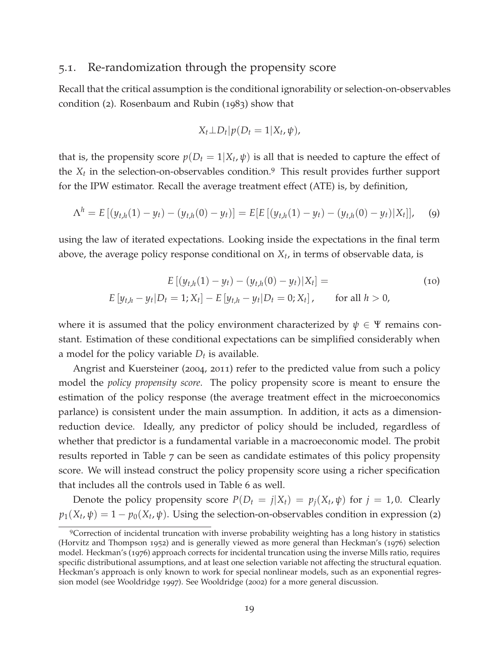# 5.1. Re-randomization through the propensity score

Recall that the critical assumption is the conditional ignorability or selection-on-observables condition (2). Rosenbaum and Rubin (1983) show that

$$
X_t \perp D_t | p(D_t = 1 | X_t, \psi),
$$

that is, the propensity score  $p(D_t = 1 | X_t, \psi)$  is all that is needed to capture the effect of the  $X_t$  in the selection-on-observables condition.<sup>9</sup> This result provides further support for the IPW estimator. Recall the average treatment effect (ATE) is, by definition,

$$
\Lambda^h = E\left[ (y_{t,h}(1) - y_t) - (y_{t,h}(0) - y_t) \right] = E\left[ E\left[ (y_{t,h}(1) - y_t) - (y_{t,h}(0) - y_t) \right] X_t \right], \quad (9)
$$

using the law of iterated expectations. Looking inside the expectations in the final term above, the average policy response conditional on *X<sup>t</sup>* , in terms of observable data, is

$$
E [(y_{t,h}(1) - y_t) - (y_{t,h}(0) - y_t)|X_t] =
$$
  
\n
$$
E [y_{t,h} - y_t|D_t = 1; X_t] - E [y_{t,h} - y_t|D_t = 0; X_t], \quad \text{for all } h > 0,
$$
\n(10)

where it is assumed that the policy environment characterized by  $\psi \in \Psi$  remains constant. Estimation of these conditional expectations can be simplified considerably when a model for the policy variable *D<sup>t</sup>* is available.

Angrist and Kuersteiner (2004, 2011) refer to the predicted value from such a policy model the *policy propensity score*. The policy propensity score is meant to ensure the estimation of the policy response (the average treatment effect in the microeconomics parlance) is consistent under the main assumption. In addition, it acts as a dimensionreduction device. Ideally, any predictor of policy should be included, regardless of whether that predictor is a fundamental variable in a macroeconomic model. The probit results reported in Table 7 can be seen as candidate estimates of this policy propensity score. We will instead construct the policy propensity score using a richer specification that includes all the controls used in Table 6 as well.

Denote the policy propensity score  $P(D_t = j | X_t) = p_j(X_t, \psi)$  for  $j = 1, 0$ . Clearly  $p_1(X_t, \psi) = 1 - p_0(X_t, \psi)$ . Using the selection-on-observables condition in expression (2)

<sup>9</sup>Correction of incidental truncation with inverse probability weighting has a long history in statistics (Horvitz and Thompson 1952) and is generally viewed as more general than Heckman's (1976) selection model. Heckman's (1976) approach corrects for incidental truncation using the inverse Mills ratio, requires specific distributional assumptions, and at least one selection variable not affecting the structural equation. Heckman's approach is only known to work for special nonlinear models, such as an exponential regression model (see Wooldridge 1997). See Wooldridge (2002) for a more general discussion.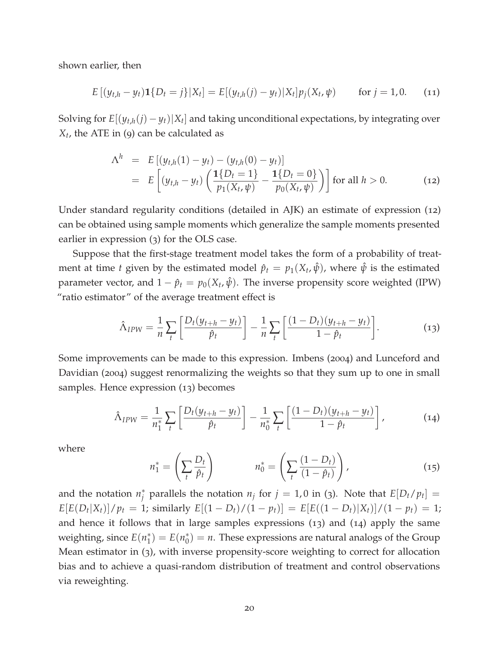shown earlier, then

$$
E[(y_{t,h} - y_t) \mathbf{1}\{D_t = j\} | X_t] = E[(y_{t,h}(j) - y_t) | X_t] p_j(X_t, \psi) \quad \text{for } j = 1, 0. \quad (11)
$$

Solving for  $E[(y_{t,h}(j) - y_t)|X_t]$  and taking unconditional expectations, by integrating over *Xt* , the ATE in (9) can be calculated as

$$
\Lambda^{h} = E [(y_{t,h}(1) - y_t) - (y_{t,h}(0) - y_t)]
$$
  
= 
$$
E \left[ (y_{t,h} - y_t) \left( \frac{\mathbf{1} \{ D_t = 1 \}}{p_1(X_t, \psi)} - \frac{\mathbf{1} \{ D_t = 0 \}}{p_0(X_t, \psi)} \right) \right]
$$
 for all  $h > 0$ . (12)

Under standard regularity conditions (detailed in AJK) an estimate of expression (12) can be obtained using sample moments which generalize the sample moments presented earlier in expression (3) for the OLS case.

Suppose that the first-stage treatment model takes the form of a probability of treatment at time *t* given by the estimated model  $\hat{p}_t = p_1(X_t, \hat{\psi})$ , where  $\hat{\psi}$  is the estimated parameter vector, and  $1 - \hat{p}_t = p_0(X_t, \hat{\psi})$ . The inverse propensity score weighted (IPW) "ratio estimator" of the average treatment effect is

$$
\hat{\Lambda}_{IPW} = \frac{1}{n} \sum_{t} \left[ \frac{D_t(y_{t+h} - y_t)}{\hat{p}_t} \right] - \frac{1}{n} \sum_{t} \left[ \frac{(1 - D_t)(y_{t+h} - y_t)}{1 - \hat{p}_t} \right]. \tag{13}
$$

Some improvements can be made to this expression. Imbens (2004) and Lunceford and Davidian (2004) suggest renormalizing the weights so that they sum up to one in small samples. Hence expression (13) becomes

$$
\hat{\Lambda}_{IPW} = \frac{1}{n_1^*} \sum_t \left[ \frac{D_t (y_{t+h} - y_t)}{\hat{p}_t} \right] - \frac{1}{n_0^*} \sum_t \left[ \frac{(1 - D_t) (y_{t+h} - y_t)}{1 - \hat{p}_t} \right],
$$
(14)

where

$$
n_1^* = \left(\sum_t \frac{D_t}{\hat{p}_t}\right) \qquad n_0^* = \left(\sum_t \frac{(1 - D_t)}{(1 - \hat{p}_t)}\right), \qquad (15)
$$

and the notation  $n_i^*$  $j$ <sup>\*</sup> parallels the notation  $n_j$  for  $j = 1, 0$  in (3). Note that  $E[D_t/p_t] =$  $E[E(D_t|X_t)]/p_t = 1$ ; similarly  $E[(1-D_t)/(1-p_t)] = E[E((1-D_t)|X_t)]/(1-p_t) = 1$ ; and hence it follows that in large samples expressions (13) and (14) apply the same weighting, since *E*(*n* ∗  $j^{*}_{1}$ ) =  $E(n^{*}_{0})$  $\binom{1}{0}$  = *n*. These expressions are natural analogs of the Group Mean estimator in (3), with inverse propensity-score weighting to correct for allocation bias and to achieve a quasi-random distribution of treatment and control observations via reweighting.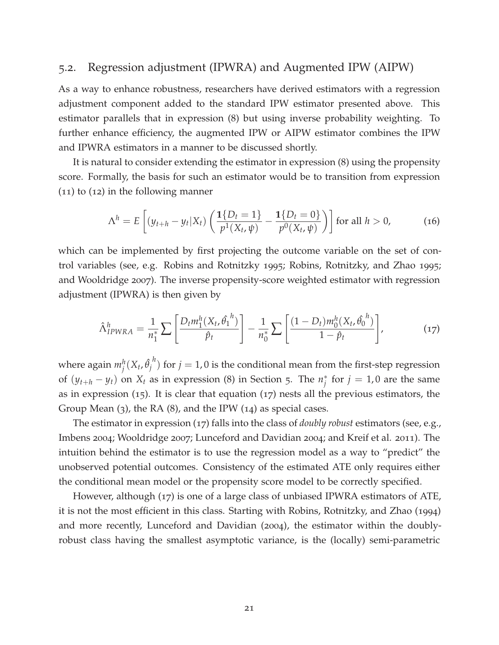## 5.2. Regression adjustment (IPWRA) and Augmented IPW (AIPW)

As a way to enhance robustness, researchers have derived estimators with a regression adjustment component added to the standard IPW estimator presented above. This estimator parallels that in expression (8) but using inverse probability weighting. To further enhance efficiency, the augmented IPW or AIPW estimator combines the IPW and IPWRA estimators in a manner to be discussed shortly.

It is natural to consider extending the estimator in expression (8) using the propensity score. Formally, the basis for such an estimator would be to transition from expression (11) to (12) in the following manner

$$
\Lambda^h = E\left[ (y_{t+h} - y_t | X_t) \left( \frac{\mathbf{1}\{D_t = 1\}}{p^1(X_t, \psi)} - \frac{\mathbf{1}\{D_t = 0\}}{p^0(X_t, \psi)} \right) \right] \text{ for all } h > 0,
$$
 (16)

which can be implemented by first projecting the outcome variable on the set of control variables (see, e.g. Robins and Rotnitzky 1995; Robins, Rotnitzky, and Zhao 1995; and Wooldridge 2007). The inverse propensity-score weighted estimator with regression adjustment (IPWRA) is then given by

$$
\hat{\Lambda}_{IPWRA}^{h} = \frac{1}{n_1^*} \sum \left[ \frac{D_t m_1^h(X_t, \hat{\theta}_1^{h})}{\hat{p}_t} \right] - \frac{1}{n_0^*} \sum \left[ \frac{(1 - D_t) m_0^h(X_t, \hat{\theta}_0^{h})}{1 - \hat{p}_t} \right],
$$
(17)

where again  $m_j^h(X_t, \hat{\theta_j}^h)$  for  $j=1,0$  is the conditional mean from the first-step regression of  $(y_{t+h} - y_t)$  on  $X_t$  as in expression (8) in Section 5. The  $n_i^*$  $j$ <sup>\*</sup> for  $j = 1,0$  are the same as in expression  $(15)$ . It is clear that equation  $(17)$  nests all the previous estimators, the Group Mean  $(3)$ , the RA  $(8)$ , and the IPW  $(14)$  as special cases.

The estimator in expression (17) falls into the class of *doubly robust* estimators (see, e.g., Imbens 2004; Wooldridge 2007; Lunceford and Davidian 2004; and Kreif et al. 2011). The intuition behind the estimator is to use the regression model as a way to "predict" the unobserved potential outcomes. Consistency of the estimated ATE only requires either the conditional mean model or the propensity score model to be correctly specified.

However, although (17) is one of a large class of unbiased IPWRA estimators of ATE, it is not the most efficient in this class. Starting with Robins, Rotnitzky, and Zhao (1994) and more recently, Lunceford and Davidian (2004), the estimator within the doublyrobust class having the smallest asymptotic variance, is the (locally) semi-parametric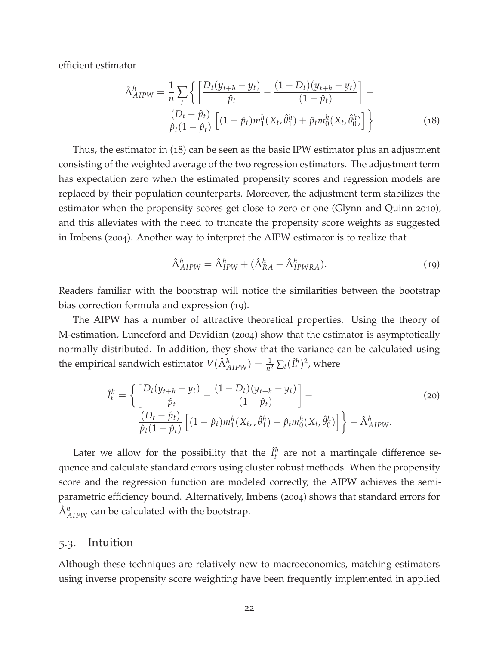efficient estimator

$$
\hat{\Lambda}_{AIPW}^{h} = \frac{1}{n} \sum_{t} \left\{ \left[ \frac{D_{t}(y_{t+h} - y_{t})}{\hat{p}_{t}} - \frac{(1 - D_{t})(y_{t+h} - y_{t})}{(1 - \hat{p}_{t})} \right] - \frac{(D_{t} - \hat{p}_{t})}{\hat{p}_{t}(1 - \hat{p}_{t})} \left[ (1 - \hat{p}_{t}) m_{1}^{h}(X_{t}, \hat{\theta}_{1}^{h}) + \hat{p}_{t} m_{0}^{h}(X_{t}, \hat{\theta}_{0}^{h}) \right] \right\}
$$
(18)

Thus, the estimator in (18) can be seen as the basic IPW estimator plus an adjustment consisting of the weighted average of the two regression estimators. The adjustment term has expectation zero when the estimated propensity scores and regression models are replaced by their population counterparts. Moreover, the adjustment term stabilizes the estimator when the propensity scores get close to zero or one (Glynn and Quinn 2010), and this alleviates with the need to truncate the propensity score weights as suggested in Imbens (2004). Another way to interpret the AIPW estimator is to realize that

$$
\hat{\Lambda}_{AIPW}^h = \hat{\Lambda}_{IPW}^h + (\hat{\Lambda}_{RA}^h - \hat{\Lambda}_{IPWRA}^h). \tag{19}
$$

Readers familiar with the bootstrap will notice the similarities between the bootstrap bias correction formula and expression (19).

The AIPW has a number of attractive theoretical properties. Using the theory of M-estimation, Lunceford and Davidian (2004) show that the estimator is asymptotically normally distributed. In addition, they show that the variance can be calculated using the empirical sandwich estimator  $V(\hat{\Lambda}^h_{AIPW}) = \frac{1}{n^2} \sum_l (\hat{I}^h_l)^2$ , where

$$
\hat{I}_t^h = \left\{ \left[ \frac{D_t(y_{t+h} - y_t)}{\hat{p}_t} - \frac{(1 - D_t)(y_{t+h} - y_t)}{(1 - \hat{p}_t)} \right] - \frac{(D_t - \hat{p}_t)}{\hat{p}_t(1 - \hat{p}_t)} \left[ (1 - \hat{p}_t) m_1^h(X_t, \hat{\theta}_1^h) + \hat{p}_t m_0^h(X_t, \hat{\theta}_0^h) \right] \right\} - \hat{\Lambda}_{AIPW}^h.
$$
\n(20)

Later we allow for the possibility that the  $\hat{I}_t^h$  are not a martingale difference sequence and calculate standard errors using cluster robust methods. When the propensity score and the regression function are modeled correctly, the AIPW achieves the semiparametric efficiency bound. Alternatively, Imbens (2004) shows that standard errors for  $\hat{\Lambda}^h_{AIPW}$  can be calculated with the bootstrap.

## 5.3. Intuition

Although these techniques are relatively new to macroeconomics, matching estimators using inverse propensity score weighting have been frequently implemented in applied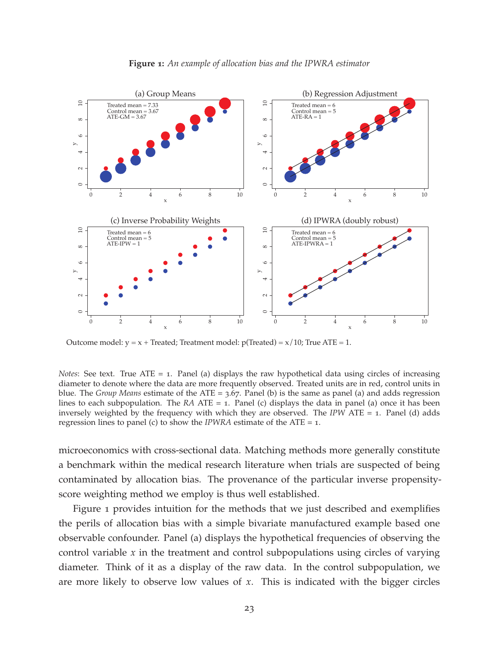

**Figure 1:** *An example of allocation bias and the IPWRA estimator*

Outcome model:  $y = x + Treated$ ; Treatment model:  $p(Treated) = x/10$ ; True ATE = 1.

*Notes*: See text. True  $ATE = 1$ . Panel (a) displays the raw hypothetical data using circles of increasing diameter to denote where the data are more frequently observed. Treated units are in red, control units in blue. The *Group Means* estimate of the ATE = 3.67. Panel (b) is the same as panel (a) and adds regression lines to each subpopulation. The *RA* ATE = 1. Panel (c) displays the data in panel (a) once it has been inversely weighted by the frequency with which they are observed. The *IPW* ATE = 1. Panel (d) adds regression lines to panel (c) to show the *IPWRA* estimate of the ATE = 1.

microeconomics with cross-sectional data. Matching methods more generally constitute a benchmark within the medical research literature when trials are suspected of being contaminated by allocation bias. The provenance of the particular inverse propensityscore weighting method we employ is thus well established.

Figure 1 provides intuition for the methods that we just described and exemplifies the perils of allocation bias with a simple bivariate manufactured example based one observable confounder. Panel (a) displays the hypothetical frequencies of observing the control variable *x* in the treatment and control subpopulations using circles of varying diameter. Think of it as a display of the raw data. In the control subpopulation, we are more likely to observe low values of *x*. This is indicated with the bigger circles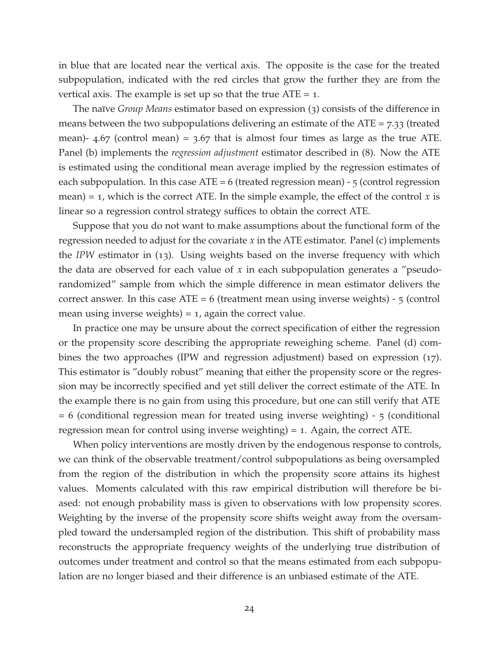in blue that are located near the vertical axis. The opposite is the case for the treated subpopulation, indicated with the red circles that grow the further they are from the vertical axis. The example is set up so that the true  $ATE = 1$ .

The na¨ıve *Group Means* estimator based on expression (3) consists of the difference in means between the two subpopulations delivering an estimate of the  $ATE = 7.33$  (treated mean)- 4.67 (control mean) =  $3.67$  that is almost four times as large as the true ATE. Panel (b) implements the *regression adjustment* estimator described in (8). Now the ATE is estimated using the conditional mean average implied by the regression estimates of each subpopulation. In this case ATE = 6 (treated regression mean) -  $\frac{1}{5}$  (control regression mean) =  $\alpha$ , which is the correct ATE. In the simple example, the effect of the control  $x$  is linear so a regression control strategy suffices to obtain the correct ATE.

Suppose that you do not want to make assumptions about the functional form of the regression needed to adjust for the covariate *x* in the ATE estimator. Panel (c) implements the *IPW* estimator in (13). Using weights based on the inverse frequency with which the data are observed for each value of *x* in each subpopulation generates a "pseudorandomized" sample from which the simple difference in mean estimator delivers the correct answer. In this case  $ATE = 6$  (treatment mean using inverse weights) -  $5$  (control mean using inverse weights) =  $1$ , again the correct value.

In practice one may be unsure about the correct specification of either the regression or the propensity score describing the appropriate reweighing scheme. Panel (d) combines the two approaches (IPW and regression adjustment) based on expression (17). This estimator is "doubly robust" meaning that either the propensity score or the regression may be incorrectly specified and yet still deliver the correct estimate of the ATE. In the example there is no gain from using this procedure, but one can still verify that ATE = 6 (conditional regression mean for treated using inverse weighting) - 5 (conditional regression mean for control using inverse weighting) = 1. Again, the correct ATE.

When policy interventions are mostly driven by the endogenous response to controls, we can think of the observable treatment/control subpopulations as being oversampled from the region of the distribution in which the propensity score attains its highest values. Moments calculated with this raw empirical distribution will therefore be biased: not enough probability mass is given to observations with low propensity scores. Weighting by the inverse of the propensity score shifts weight away from the oversampled toward the undersampled region of the distribution. This shift of probability mass reconstructs the appropriate frequency weights of the underlying true distribution of outcomes under treatment and control so that the means estimated from each subpopulation are no longer biased and their difference is an unbiased estimate of the ATE.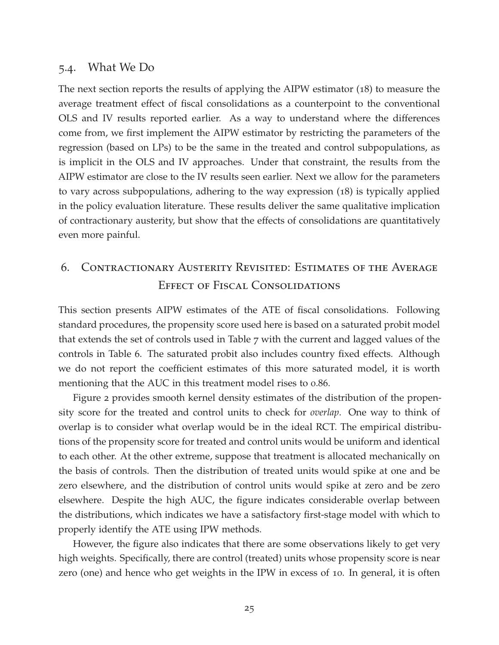#### 5.4. What We Do

The next section reports the results of applying the AIPW estimator (18) to measure the average treatment effect of fiscal consolidations as a counterpoint to the conventional OLS and IV results reported earlier. As a way to understand where the differences come from, we first implement the AIPW estimator by restricting the parameters of the regression (based on LPs) to be the same in the treated and control subpopulations, as is implicit in the OLS and IV approaches. Under that constraint, the results from the AIPW estimator are close to the IV results seen earlier. Next we allow for the parameters to vary across subpopulations, adhering to the way expression (18) is typically applied in the policy evaluation literature. These results deliver the same qualitative implication of contractionary austerity, but show that the effects of consolidations are quantitatively even more painful.

# 6. Contractionary Austerity Revisited: Estimates of the Average Effect of Fiscal Consolidations

This section presents AIPW estimates of the ATE of fiscal consolidations. Following standard procedures, the propensity score used here is based on a saturated probit model that extends the set of controls used in Table 7 with the current and lagged values of the controls in Table 6. The saturated probit also includes country fixed effects. Although we do not report the coefficient estimates of this more saturated model, it is worth mentioning that the AUC in this treatment model rises to 0.86.

Figure 2 provides smooth kernel density estimates of the distribution of the propensity score for the treated and control units to check for *overlap*. One way to think of overlap is to consider what overlap would be in the ideal RCT. The empirical distributions of the propensity score for treated and control units would be uniform and identical to each other. At the other extreme, suppose that treatment is allocated mechanically on the basis of controls. Then the distribution of treated units would spike at one and be zero elsewhere, and the distribution of control units would spike at zero and be zero elsewhere. Despite the high AUC, the figure indicates considerable overlap between the distributions, which indicates we have a satisfactory first-stage model with which to properly identify the ATE using IPW methods.

However, the figure also indicates that there are some observations likely to get very high weights. Specifically, there are control (treated) units whose propensity score is near zero (one) and hence who get weights in the IPW in excess of 10. In general, it is often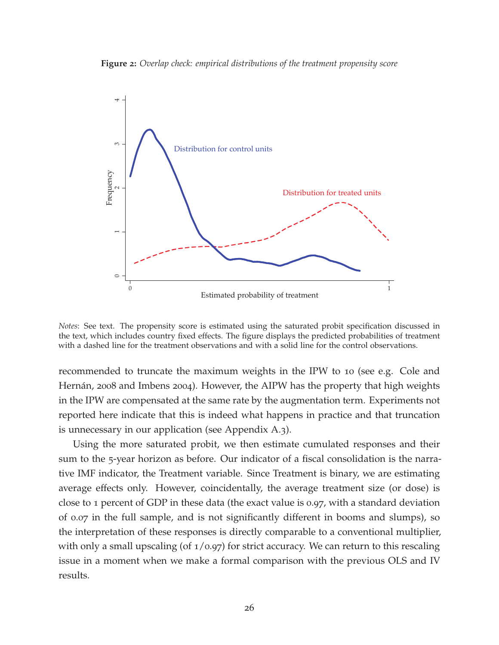**Figure 2:** *Overlap check: empirical distributions of the treatment propensity score*



*Notes*: See text. The propensity score is estimated using the saturated probit specification discussed in the text, which includes country fixed effects. The figure displays the predicted probabilities of treatment with a dashed line for the treatment observations and with a solid line for the control observations.

recommended to truncate the maximum weights in the IPW to 10 (see e.g. Cole and Hernán, 2008 and Imbens 2004). However, the AIPW has the property that high weights in the IPW are compensated at the same rate by the augmentation term. Experiments not reported here indicate that this is indeed what happens in practice and that truncation is unnecessary in our application (see Appendix A.3).

Using the more saturated probit, we then estimate cumulated responses and their sum to the 5-year horizon as before. Our indicator of a fiscal consolidation is the narrative IMF indicator, the Treatment variable. Since Treatment is binary, we are estimating average effects only. However, coincidentally, the average treatment size (or dose) is close to 1 percent of GDP in these data (the exact value is 0.97, with a standard deviation of 0.07 in the full sample, and is not significantly different in booms and slumps), so the interpretation of these responses is directly comparable to a conventional multiplier, with only a small upscaling (of  $1/0.97$ ) for strict accuracy. We can return to this rescaling issue in a moment when we make a formal comparison with the previous OLS and IV results.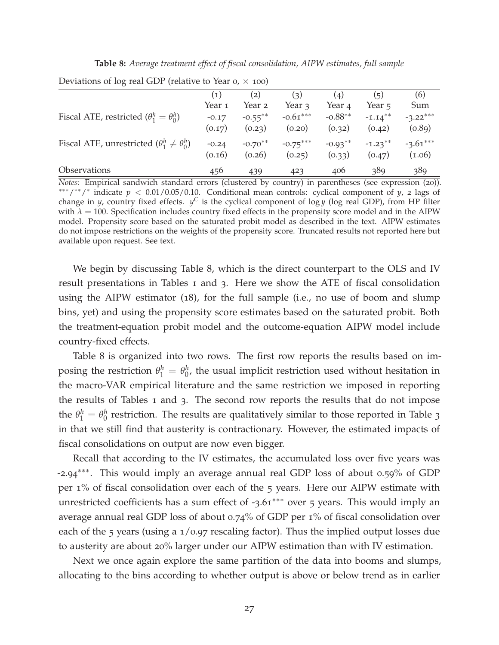**Table 8:** *Average treatment effect of fiscal consolidation, AIPW estimates, full sample*

|                                                         | (1)     | (2)        | (3)        | (4)        | (5)        | (6)        |
|---------------------------------------------------------|---------|------------|------------|------------|------------|------------|
|                                                         | Year 1  | Year 2     | Year 3     | Year 4     | Year 5     | Sum        |
| Fiscal ATE, restricted $(\theta_1^h = \theta_0^h)$      | $-0.17$ | $-0.55***$ | $-0.61***$ | $-0.88**$  | $-1.14***$ | $-3.22***$ |
|                                                         | (0.17)  | (0.23)     | (0.20)     | (0.32)     | (0.42)     | (0.89)     |
| Fiscal ATE, unrestricted $(\theta_1^h \neq \theta_0^h)$ | $-0.24$ | $-0.70***$ | $-0.75***$ | $-0.93***$ | $-1.23***$ | $-3.61***$ |
|                                                         | (0.16)  | (0.26)     | (0.25)     | (0.33)     | (0.47)     | (1.06)     |
| Observations                                            | 456     | 439        | 423        | 406        | 389        | 389        |

Deviations of log real GDP (relative to Year  $o$ ,  $\times$  100)

*Notes:* Empirical sandwich standard errors (clustered by country) in parentheses (see expression (20)). ∗∗∗/ ∗∗/ ∗ indicate *p* < 0.01/0.05/0.10. Conditional mean controls: cyclical component of *y*, 2 lags of change in *y*, country fixed effects.  $y^C$  is the cyclical component of log *y* (log real GDP), from HP filter with  $\lambda = 100$ . Specification includes country fixed effects in the propensity score model and in the AIPW model. Propensity score based on the saturated probit model as described in the text. AIPW estimates do not impose restrictions on the weights of the propensity score. Truncated results not reported here but available upon request. See text.

We begin by discussing Table 8, which is the direct counterpart to the OLS and IV result presentations in Tables 1 and 3. Here we show the ATE of fiscal consolidation using the AIPW estimator (18), for the full sample (i.e., no use of boom and slump bins, yet) and using the propensity score estimates based on the saturated probit. Both the treatment-equation probit model and the outcome-equation AIPW model include country-fixed effects.

Table 8 is organized into two rows. The first row reports the results based on imposing the restriction  $\theta_1^h = \theta_0^h$  $\int_{0}^{n}$ , the usual implicit restriction used without hesitation in the macro-VAR empirical literature and the same restriction we imposed in reporting the results of Tables 1 and 3. The second row reports the results that do not impose the  $\theta_1^h = \theta_0^h$  $\frac{h}{0}$  restriction. The results are qualitatively similar to those reported in Table 3 in that we still find that austerity is contractionary. However, the estimated impacts of fiscal consolidations on output are now even bigger.

Recall that according to the IV estimates, the accumulated loss over five years was -2.94∗∗∗. This would imply an average annual real GDP loss of about 0.59% of GDP per 1% of fiscal consolidation over each of the 5 years. Here our AIPW estimate with unrestricted coefficients has a sum effect of -3.61∗∗∗ over 5 years. This would imply an average annual real GDP loss of about 0.74% of GDP per 1% of fiscal consolidation over each of the 5 years (using a 1/0.97 rescaling factor). Thus the implied output losses due to austerity are about 20% larger under our AIPW estimation than with IV estimation.

Next we once again explore the same partition of the data into booms and slumps, allocating to the bins according to whether output is above or below trend as in earlier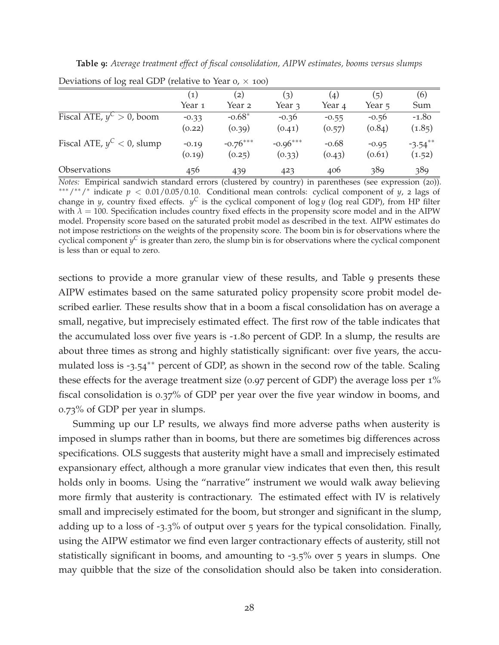| $D$ evidence of $D_{\rm N}$ run $D_{\rm D}$ . (retain $C$ to run $D_{\rm N}$ root |                   |                      |                      |                   |                   |                      |
|-----------------------------------------------------------------------------------|-------------------|----------------------|----------------------|-------------------|-------------------|----------------------|
|                                                                                   | $\mathbf{1}$      | (2)                  | (3)                  | $\left( 4\right)$ | (5)               | (6)                  |
|                                                                                   | Year 1            | Year 2               | Year 3               | Year <sub>4</sub> | Year 5            | Sum                  |
| Fiscal ATE, $y^C > 0$ , boom                                                      | $-0.33$<br>(0.22) | $-0.68*$<br>(0.39)   | $-0.36$<br>(0.41)    | $-0.55$<br>(0.57) | $-0.56$<br>(0.84) | $-1.80$<br>(1.85)    |
| Fiscal ATE, $y^C < 0$ , slump                                                     | $-0.19$<br>(0.19) | $-0.76***$<br>(0.25) | $-0.96***$<br>(0.33) | $-0.68$<br>(0.43) | $-0.95$<br>(0.61) | $-3.54***$<br>(1.52) |
| Observations                                                                      | 456               | 439                  | 423                  | 406               | 389               | 389                  |

**Table 9:** *Average treatment effect of fiscal consolidation, AIPW estimates, booms versus slumps*

*Notes:* Empirical sandwich standard errors (clustered by country) in parentheses (see expression (20)). ∗∗∗/ ∗∗/ ∗ indicate *p* < 0.01/0.05/0.10. Conditional mean controls: cyclical component of *y*, 2 lags of change in *y*, country fixed effects.  $y^C$  is the cyclical component of log *y* (log real GDP), from HP filter with  $\lambda = 100$ . Specification includes country fixed effects in the propensity score model and in the AIPW model. Propensity score based on the saturated probit model as described in the text. AIPW estimates do not impose restrictions on the weights of the propensity score. The boom bin is for observations where the cyclical component  $y^C$  is greater than zero, the slump bin is for observations where the cyclical component is less than or equal to zero.

Deviations of log real GDP (relative to Year  $0. \times 100$ )

sections to provide a more granular view of these results, and Table 9 presents these AIPW estimates based on the same saturated policy propensity score probit model described earlier. These results show that in a boom a fiscal consolidation has on average a small, negative, but imprecisely estimated effect. The first row of the table indicates that the accumulated loss over five years is -1.80 percent of GDP. In a slump, the results are about three times as strong and highly statistically significant: over five years, the accumulated loss is -3.54∗∗ percent of GDP, as shown in the second row of the table. Scaling these effects for the average treatment size (0.97 percent of GDP) the average loss per 1% fiscal consolidation is 0.37% of GDP per year over the five year window in booms, and 0.73% of GDP per year in slumps.

Summing up our LP results, we always find more adverse paths when austerity is imposed in slumps rather than in booms, but there are sometimes big differences across specifications. OLS suggests that austerity might have a small and imprecisely estimated expansionary effect, although a more granular view indicates that even then, this result holds only in booms. Using the "narrative" instrument we would walk away believing more firmly that austerity is contractionary. The estimated effect with IV is relatively small and imprecisely estimated for the boom, but stronger and significant in the slump, adding up to a loss of -3.3% of output over 5 years for the typical consolidation. Finally, using the AIPW estimator we find even larger contractionary effects of austerity, still not statistically significant in booms, and amounting to -3.5% over 5 years in slumps. One may quibble that the size of the consolidation should also be taken into consideration.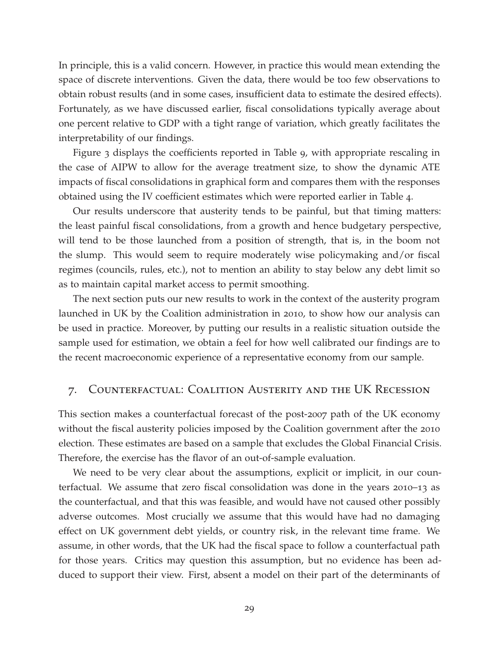In principle, this is a valid concern. However, in practice this would mean extending the space of discrete interventions. Given the data, there would be too few observations to obtain robust results (and in some cases, insufficient data to estimate the desired effects). Fortunately, as we have discussed earlier, fiscal consolidations typically average about one percent relative to GDP with a tight range of variation, which greatly facilitates the interpretability of our findings.

Figure 3 displays the coefficients reported in Table 9, with appropriate rescaling in the case of AIPW to allow for the average treatment size, to show the dynamic ATE impacts of fiscal consolidations in graphical form and compares them with the responses obtained using the IV coefficient estimates which were reported earlier in Table 4.

Our results underscore that austerity tends to be painful, but that timing matters: the least painful fiscal consolidations, from a growth and hence budgetary perspective, will tend to be those launched from a position of strength, that is, in the boom not the slump. This would seem to require moderately wise policymaking and/or fiscal regimes (councils, rules, etc.), not to mention an ability to stay below any debt limit so as to maintain capital market access to permit smoothing.

The next section puts our new results to work in the context of the austerity program launched in UK by the Coalition administration in 2010, to show how our analysis can be used in practice. Moreover, by putting our results in a realistic situation outside the sample used for estimation, we obtain a feel for how well calibrated our findings are to the recent macroeconomic experience of a representative economy from our sample.

# 7. Counterfactual: Coalition Austerity and the UK Recession

This section makes a counterfactual forecast of the post-2007 path of the UK economy without the fiscal austerity policies imposed by the Coalition government after the 2010 election. These estimates are based on a sample that excludes the Global Financial Crisis. Therefore, the exercise has the flavor of an out-of-sample evaluation.

We need to be very clear about the assumptions, explicit or implicit, in our counterfactual. We assume that zero fiscal consolidation was done in the years 2010–13 as the counterfactual, and that this was feasible, and would have not caused other possibly adverse outcomes. Most crucially we assume that this would have had no damaging effect on UK government debt yields, or country risk, in the relevant time frame. We assume, in other words, that the UK had the fiscal space to follow a counterfactual path for those years. Critics may question this assumption, but no evidence has been adduced to support their view. First, absent a model on their part of the determinants of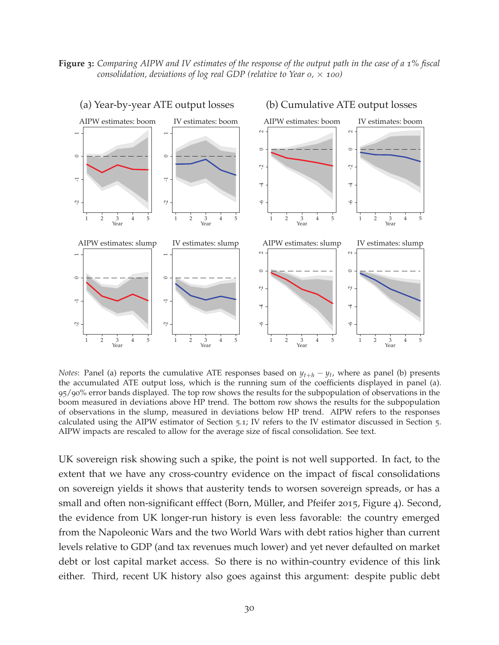



*Notes*: Panel (a) reports the cumulative ATE responses based on *yt*+*<sup>h</sup>* − *y<sup>t</sup>* , where as panel (b) presents the accumulated ATE output loss, which is the running sum of the coefficients displayed in panel (a). 95/90% error bands displayed. The top row shows the results for the subpopulation of observations in the boom measured in deviations above HP trend. The bottom row shows the results for the subpopulation of observations in the slump, measured in deviations below HP trend. AIPW refers to the responses calculated using the AIPW estimator of Section 5.1; IV refers to the IV estimator discussed in Section 5. AIPW impacts are rescaled to allow for the average size of fiscal consolidation. See text.

UK sovereign risk showing such a spike, the point is not well supported. In fact, to the extent that we have any cross-country evidence on the impact of fiscal consolidations on sovereign yields it shows that austerity tends to worsen sovereign spreads, or has a small and often non-significant efffect (Born, Müller, and Pfeifer 2015, Figure 4). Second, the evidence from UK longer-run history is even less favorable: the country emerged from the Napoleonic Wars and the two World Wars with debt ratios higher than current levels relative to GDP (and tax revenues much lower) and yet never defaulted on market debt or lost capital market access. So there is no within-country evidence of this link either. Third, recent UK history also goes against this argument: despite public debt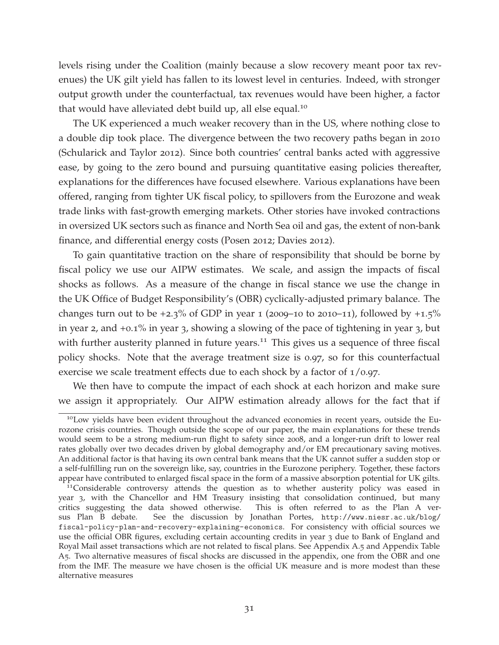levels rising under the Coalition (mainly because a slow recovery meant poor tax revenues) the UK gilt yield has fallen to its lowest level in centuries. Indeed, with stronger output growth under the counterfactual, tax revenues would have been higher, a factor that would have alleviated debt build up, all else equal.<sup>10</sup>

The UK experienced a much weaker recovery than in the US, where nothing close to a double dip took place. The divergence between the two recovery paths began in 2010 (Schularick and Taylor 2012). Since both countries' central banks acted with aggressive ease, by going to the zero bound and pursuing quantitative easing policies thereafter, explanations for the differences have focused elsewhere. Various explanations have been offered, ranging from tighter UK fiscal policy, to spillovers from the Eurozone and weak trade links with fast-growth emerging markets. Other stories have invoked contractions in oversized UK sectors such as finance and North Sea oil and gas, the extent of non-bank finance, and differential energy costs (Posen 2012; Davies 2012).

To gain quantitative traction on the share of responsibility that should be borne by fiscal policy we use our AIPW estimates. We scale, and assign the impacts of fiscal shocks as follows. As a measure of the change in fiscal stance we use the change in the UK Office of Budget Responsibility's (OBR) cyclically-adjusted primary balance. The changes turn out to be  $+2.3\%$  of GDP in year 1 (2009–10 to 2010–11), followed by  $+1.5\%$ in year 2, and +0.1% in year 3, showing a slowing of the pace of tightening in year 3, but with further austerity planned in future years.<sup>11</sup> This gives us a sequence of three fiscal policy shocks. Note that the average treatment size is 0.97, so for this counterfactual exercise we scale treatment effects due to each shock by a factor of 1/0.97.

We then have to compute the impact of each shock at each horizon and make sure we assign it appropriately. Our AIPW estimation already allows for the fact that if

<sup>&</sup>lt;sup>10</sup>Low yields have been evident throughout the advanced economies in recent years, outside the Eurozone crisis countries. Though outside the scope of our paper, the main explanations for these trends would seem to be a strong medium-run flight to safety since 2008, and a longer-run drift to lower real rates globally over two decades driven by global demography and/or EM precautionary saving motives. An additional factor is that having its own central bank means that the UK cannot suffer a sudden stop or a self-fulfilling run on the sovereign like, say, countries in the Eurozone periphery. Together, these factors appear have contributed to enlarged fiscal space in the form of a massive absorption potential for UK gilts.

 $11$ Considerable controversy attends the question as to whether austerity policy was eased in year 3, with the Chancellor and HM Treasury insisting that consolidation continued, but many critics suggesting the data showed otherwise. This is often referred to as the Plan A versus Plan B debate. See the discussion by Jonathan Portes, http://www.niesr.ac.uk/blog/ fiscal-policy-plan-and-recovery-explaining-economics. For consistency with official sources we use the official OBR figures, excluding certain accounting credits in year 3 due to Bank of England and Royal Mail asset transactions which are not related to fiscal plans. See Appendix A.5 and Appendix Table A5. Two alternative measures of fiscal shocks are discussed in the appendix, one from the OBR and one from the IMF. The measure we have chosen is the official UK measure and is more modest than these alternative measures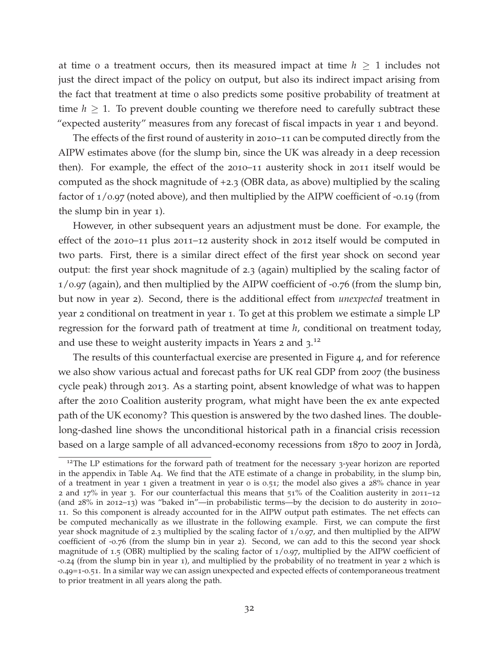at time o a treatment occurs, then its measured impact at time  $h \geq 1$  includes not just the direct impact of the policy on output, but also its indirect impact arising from the fact that treatment at time 0 also predicts some positive probability of treatment at time  $h \geq 1$ . To prevent double counting we therefore need to carefully subtract these "expected austerity" measures from any forecast of fiscal impacts in year 1 and beyond.

The effects of the first round of austerity in 2010–11 can be computed directly from the AIPW estimates above (for the slump bin, since the UK was already in a deep recession then). For example, the effect of the 2010–11 austerity shock in 2011 itself would be computed as the shock magnitude of  $+2.3$  (OBR data, as above) multiplied by the scaling factor of 1/0.97 (noted above), and then multiplied by the AIPW coefficient of -0.19 (from the slump bin in year 1).

However, in other subsequent years an adjustment must be done. For example, the effect of the 2010–11 plus 2011–12 austerity shock in 2012 itself would be computed in two parts. First, there is a similar direct effect of the first year shock on second year output: the first year shock magnitude of 2.3 (again) multiplied by the scaling factor of 1/0.97 (again), and then multiplied by the AIPW coefficient of -0.76 (from the slump bin, but now in year 2). Second, there is the additional effect from *unexpected* treatment in year 2 conditional on treatment in year 1. To get at this problem we estimate a simple LP regression for the forward path of treatment at time *h*, conditional on treatment today, and use these to weight austerity impacts in Years  $2$  and  $3$ .<sup>12</sup>

The results of this counterfactual exercise are presented in Figure 4, and for reference we also show various actual and forecast paths for UK real GDP from 2007 (the business cycle peak) through 2013. As a starting point, absent knowledge of what was to happen after the 2010 Coalition austerity program, what might have been the ex ante expected path of the UK economy? This question is answered by the two dashed lines. The doublelong-dashed line shows the unconditional historical path in a financial crisis recession based on a large sample of all advanced-economy recessions from 1870 to 2007 in Jordà,

<sup>&</sup>lt;sup>12</sup>The LP estimations for the forward path of treatment for the necessary 3-year horizon are reported in the appendix in Table A4. We find that the ATE estimate of a change in probability, in the slump bin, of a treatment in year 1 given a treatment in year 0 is 0.51; the model also gives a 28% chance in year 2 and 17% in year 3. For our counterfactual this means that 51% of the Coalition austerity in 2011–12 (and 28% in 2012–13) was "baked in"—in probabilistic terms—by the decision to do austerity in 2010– 11. So this component is already accounted for in the AIPW output path estimates. The net effects can be computed mechanically as we illustrate in the following example. First, we can compute the first year shock magnitude of 2.3 multiplied by the scaling factor of 1/0.97, and then multiplied by the AIPW coefficient of -0.76 (from the slump bin in year 2). Second, we can add to this the second year shock magnitude of 1.5 (OBR) multiplied by the scaling factor of  $1/0.97$ , multiplied by the AIPW coefficient of -0.24 (from the slump bin in year 1), and multiplied by the probability of no treatment in year 2 which is 0.49=1-0.51. In a similar way we can assign unexpected and expected effects of contemporaneous treatment to prior treatment in all years along the path.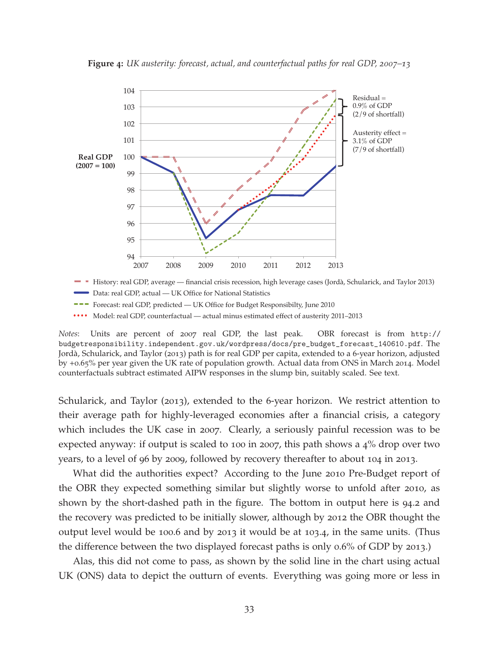

**Figure 4:** *UK austerity: forecast, actual, and counterfactual paths for real GDP, 2007–13*

- $=$  = History: real GDP, average financial crisis recession, high leverage cases (Jordà, Schularick, and Taylor 2013)
- Data: real GDP, actual UK Office for National Statistics
- Forecast: real GDP, predicted UK Office for Budget Responsibilty, June 2010
- $\bullet\bullet\bullet\bullet$ Model: real GDP, counterfactual — actual minus estimated effect of austerity 2011–2013

*Notes*: Units are percent of 2007 real GDP, the last peak. OBR forecast is from http:// budgetresponsibility.independent.gov.uk/wordpress/docs/pre\_budget\_forecast\_140610.pdf. The Jordà, Schularick, and Taylor (2013) path is for real GDP per capita, extended to a 6-year horizon, adjusted by +0.65% per year given the UK rate of population growth. Actual data from ONS in March 2014. Model counterfactuals subtract estimated AIPW responses in the slump bin, suitably scaled. See text.

Schularick, and Taylor (2013), extended to the 6-year horizon. We restrict attention to their average path for highly-leveraged economies after a financial crisis, a category which includes the UK case in 2007. Clearly, a seriously painful recession was to be expected anyway: if output is scaled to 100 in 2007, this path shows a 4% drop over two years, to a level of 96 by 2009, followed by recovery thereafter to about 104 in 2013.

What did the authorities expect? According to the June 2010 Pre-Budget report of the OBR they expected something similar but slightly worse to unfold after 2010, as shown by the short-dashed path in the figure. The bottom in output here is 94.2 and the recovery was predicted to be initially slower, although by 2012 the OBR thought the output level would be 100.6 and by 2013 it would be at 103.4, in the same units. (Thus the difference between the two displayed forecast paths is only 0.6% of GDP by 2013.)

Alas, this did not come to pass, as shown by the solid line in the chart using actual UK (ONS) data to depict the outturn of events. Everything was going more or less in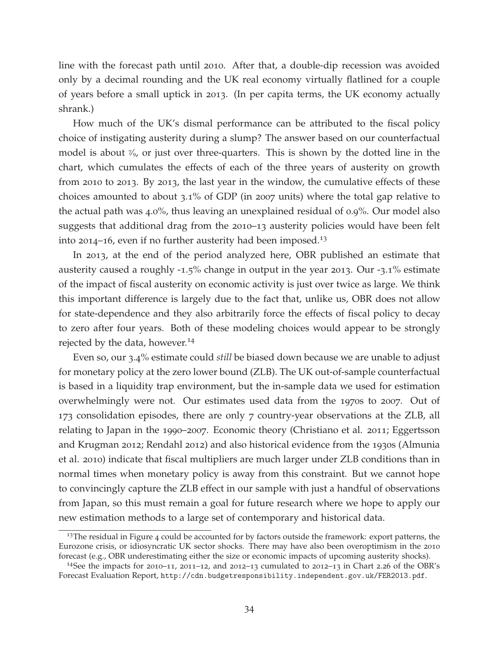line with the forecast path until 2010. After that, a double-dip recession was avoided only by a decimal rounding and the UK real economy virtually flatlined for a couple of years before a small uptick in 2013. (In per capita terms, the UK economy actually shrank.)

How much of the UK's dismal performance can be attributed to the fiscal policy choice of instigating austerity during a slump? The answer based on our counterfactual model is about <sup>7</sup> ⁄9, or just over three-quarters. This is shown by the dotted line in the chart, which cumulates the effects of each of the three years of austerity on growth from 2010 to 2013. By 2013, the last year in the window, the cumulative effects of these choices amounted to about 3.1% of GDP (in 2007 units) where the total gap relative to the actual path was 4.0%, thus leaving an unexplained residual of 0.9%. Our model also suggests that additional drag from the 2010–13 austerity policies would have been felt into 2014–16, even if no further austerity had been imposed.<sup>13</sup>

In 2013, at the end of the period analyzed here, OBR published an estimate that austerity caused a roughly -1.5% change in output in the year 2013. Our -3.1% estimate of the impact of fiscal austerity on economic activity is just over twice as large. We think this important difference is largely due to the fact that, unlike us, OBR does not allow for state-dependence and they also arbitrarily force the effects of fiscal policy to decay to zero after four years. Both of these modeling choices would appear to be strongly rejected by the data, however.<sup>14</sup>

Even so, our 3.4% estimate could *still* be biased down because we are unable to adjust for monetary policy at the zero lower bound (ZLB). The UK out-of-sample counterfactual is based in a liquidity trap environment, but the in-sample data we used for estimation overwhelmingly were not. Our estimates used data from the 1970s to 2007. Out of 173 consolidation episodes, there are only 7 country-year observations at the ZLB, all relating to Japan in the 1990–2007. Economic theory (Christiano et al. 2011; Eggertsson and Krugman 2012; Rendahl 2012) and also historical evidence from the 1930s (Almunia et al. 2010) indicate that fiscal multipliers are much larger under ZLB conditions than in normal times when monetary policy is away from this constraint. But we cannot hope to convincingly capture the ZLB effect in our sample with just a handful of observations from Japan, so this must remain a goal for future research where we hope to apply our new estimation methods to a large set of contemporary and historical data.

<sup>&</sup>lt;sup>13</sup>The residual in Figure 4 could be accounted for by factors outside the framework: export patterns, the Eurozone crisis, or idiosyncratic UK sector shocks. There may have also been overoptimism in the 2010 forecast (e.g., OBR underestimating either the size or economic impacts of upcoming austerity shocks).

<sup>&</sup>lt;sup>14</sup>See the impacts for 2010–11, 2011–12, and 2012–13 cumulated to 2012–13 in Chart 2.26 of the OBR's Forecast Evaluation Report, http://cdn.budgetresponsibility.independent.gov.uk/FER2013.pdf.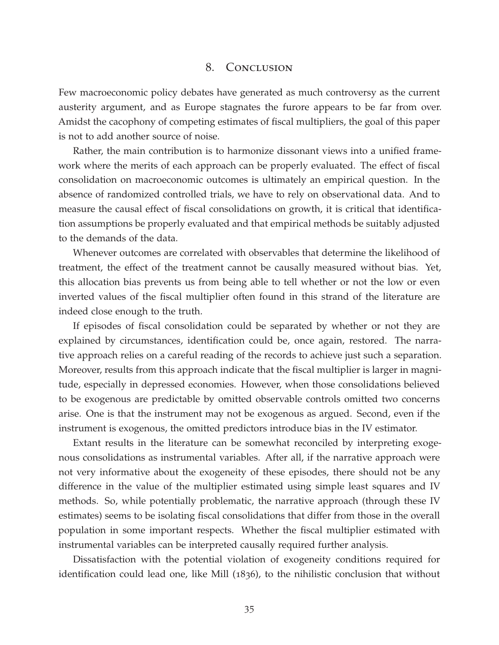#### 8. Conclusion

Few macroeconomic policy debates have generated as much controversy as the current austerity argument, and as Europe stagnates the furore appears to be far from over. Amidst the cacophony of competing estimates of fiscal multipliers, the goal of this paper is not to add another source of noise.

Rather, the main contribution is to harmonize dissonant views into a unified framework where the merits of each approach can be properly evaluated. The effect of fiscal consolidation on macroeconomic outcomes is ultimately an empirical question. In the absence of randomized controlled trials, we have to rely on observational data. And to measure the causal effect of fiscal consolidations on growth, it is critical that identification assumptions be properly evaluated and that empirical methods be suitably adjusted to the demands of the data.

Whenever outcomes are correlated with observables that determine the likelihood of treatment, the effect of the treatment cannot be causally measured without bias. Yet, this allocation bias prevents us from being able to tell whether or not the low or even inverted values of the fiscal multiplier often found in this strand of the literature are indeed close enough to the truth.

If episodes of fiscal consolidation could be separated by whether or not they are explained by circumstances, identification could be, once again, restored. The narrative approach relies on a careful reading of the records to achieve just such a separation. Moreover, results from this approach indicate that the fiscal multiplier is larger in magnitude, especially in depressed economies. However, when those consolidations believed to be exogenous are predictable by omitted observable controls omitted two concerns arise. One is that the instrument may not be exogenous as argued. Second, even if the instrument is exogenous, the omitted predictors introduce bias in the IV estimator.

Extant results in the literature can be somewhat reconciled by interpreting exogenous consolidations as instrumental variables. After all, if the narrative approach were not very informative about the exogeneity of these episodes, there should not be any difference in the value of the multiplier estimated using simple least squares and IV methods. So, while potentially problematic, the narrative approach (through these IV estimates) seems to be isolating fiscal consolidations that differ from those in the overall population in some important respects. Whether the fiscal multiplier estimated with instrumental variables can be interpreted causally required further analysis.

Dissatisfaction with the potential violation of exogeneity conditions required for identification could lead one, like Mill (1836), to the nihilistic conclusion that without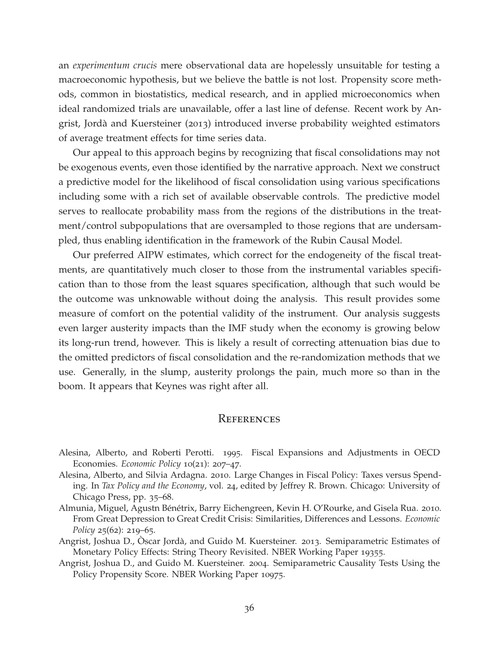an *experimentum crucis* mere observational data are hopelessly unsuitable for testing a macroeconomic hypothesis, but we believe the battle is not lost. Propensity score methods, common in biostatistics, medical research, and in applied microeconomics when ideal randomized trials are unavailable, offer a last line of defense. Recent work by Angrist, Jordà and Kuersteiner (2013) introduced inverse probability weighted estimators of average treatment effects for time series data.

Our appeal to this approach begins by recognizing that fiscal consolidations may not be exogenous events, even those identified by the narrative approach. Next we construct a predictive model for the likelihood of fiscal consolidation using various specifications including some with a rich set of available observable controls. The predictive model serves to reallocate probability mass from the regions of the distributions in the treatment/control subpopulations that are oversampled to those regions that are undersampled, thus enabling identification in the framework of the Rubin Causal Model.

Our preferred AIPW estimates, which correct for the endogeneity of the fiscal treatments, are quantitatively much closer to those from the instrumental variables specification than to those from the least squares specification, although that such would be the outcome was unknowable without doing the analysis. This result provides some measure of comfort on the potential validity of the instrument. Our analysis suggests even larger austerity impacts than the IMF study when the economy is growing below its long-run trend, however. This is likely a result of correcting attenuation bias due to the omitted predictors of fiscal consolidation and the re-randomization methods that we use. Generally, in the slump, austerity prolongs the pain, much more so than in the boom. It appears that Keynes was right after all.

#### **REFERENCES**

- Alesina, Alberto, and Roberti Perotti. 1995. Fiscal Expansions and Adjustments in OECD Economies. *Economic Policy* 10(21): 207–47.
- Alesina, Alberto, and Silvia Ardagna. 2010. Large Changes in Fiscal Policy: Taxes versus Spending. In *Tax Policy and the Economy*, vol. 24, edited by Jeffrey R. Brown. Chicago: University of Chicago Press, pp. 35–68.
- Almunia, Miguel, Agustn Bénétrix, Barry Eichengreen, Kevin H. O'Rourke, and Gisela Rua. 2010. From Great Depression to Great Credit Crisis: Similarities, Differences and Lessons. *Economic Policy* 25(62): 219–65.
- Angrist, Joshua D., Oscar Jordà, and Guido M. Kuersteiner. 2013. Semiparametric Estimates of Monetary Policy Effects: String Theory Revisited. NBER Working Paper 19355.
- Angrist, Joshua D., and Guido M. Kuersteiner. 2004. Semiparametric Causality Tests Using the Policy Propensity Score. NBER Working Paper 10975.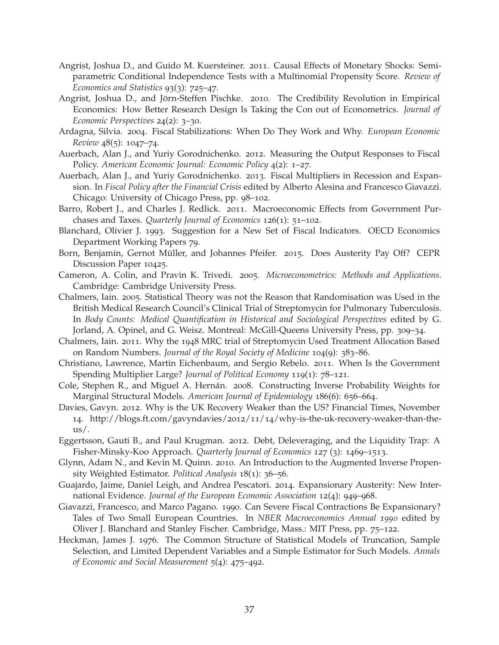- Angrist, Joshua D., and Guido M. Kuersteiner. 2011. Causal Effects of Monetary Shocks: Semiparametric Conditional Independence Tests with a Multinomial Propensity Score. *Review of Economics and Statistics* 93(3): 725–47.
- Angrist, Joshua D., and Jörn-Steffen Pischke. 2010. The Credibility Revolution in Empirical Economics: How Better Research Design Is Taking the Con out of Econometrics. *Journal of Economic Perspectives* 24(2): 3–30.
- Ardagna, Silvia. 2004. Fiscal Stabilizations: When Do They Work and Why. *European Economic Review* 48(5): 1047–74.
- Auerbach, Alan J., and Yuriy Gorodnichenko. 2012. Measuring the Output Responses to Fiscal Policy. *American Economic Journal: Economic Policy* 4(2): 1–27.
- Auerbach, Alan J., and Yuriy Gorodnichenko. 2013. Fiscal Multipliers in Recession and Expansion. In *Fiscal Policy after the Financial Crisis* edited by Alberto Alesina and Francesco Giavazzi. Chicago: University of Chicago Press, pp. 98–102.
- Barro, Robert J., and Charles J. Redlick. 2011. Macroeconomic Effects from Government Purchases and Taxes. *Quarterly Journal of Economics* 126(1): 51–102.
- Blanchard, Olivier J. 1993. Suggestion for a New Set of Fiscal Indicators. OECD Economics Department Working Papers 79.
- Born, Benjamin, Gernot Müller, and Johannes Pfeifer. 2015. Does Austerity Pay Off? CEPR Discussion Paper 10425.
- Cameron, A. Colin, and Pravin K. Trivedi. 2005. *Microeconometrics: Methods and Applications*. Cambridge: Cambridge University Press.
- Chalmers, Iain. 2005. Statistical Theory was not the Reason that Randomisation was Used in the British Medical Research Council's Clinical Trial of Streptomycin for Pulmonary Tuberculosis. In *Body Counts: Medical Quantification in Historical and Sociological Perspectives* edited by G. Jorland, A. Opinel, and G. Weisz. Montreal: McGill-Queens University Press, pp. 309–34.
- Chalmers, Iain. 2011. Why the 1948 MRC trial of Streptomycin Used Treatment Allocation Based on Random Numbers. *Journal of the Royal Society of Medicine* 104(9): 383–86.
- Christiano, Lawrence, Martin Eichenbaum, and Sergio Rebelo. 2011. When Is the Government Spending Multiplier Large? *Journal of Political Economy* 119(1): 78–121.
- Cole, Stephen R., and Miguel A. Hernán. 2008. Constructing Inverse Probability Weights for Marginal Structural Models. *American Journal of Epidemiology* 186(6): 656–664.
- Davies, Gavyn. 2012. Why is the UK Recovery Weaker than the US? Financial Times, November 14. http://blogs.ft.com/gavyndavies/2012/11/14/why-is-the-uk-recovery-weaker-than-theus/.
- Eggertsson, Gauti B., and Paul Krugman. 2012. Debt, Deleveraging, and the Liquidity Trap: A Fisher-Minsky-Koo Approach. *Quarterly Journal of Economics* 127 (3): 1469–1513.
- Glynn, Adam N., and Kevin M. Quinn. 2010. An Introduction to the Augmented Inverse Propensity Weighted Estimator. *Political Analysis* 18(1): 36–56.
- Guajardo, Jaime, Daniel Leigh, and Andrea Pescatori. 2014. Expansionary Austerity: New International Evidence. *Journal of the European Economic Association* 12(4): 949–968.
- Giavazzi, Francesco, and Marco Pagano. 1990. Can Severe Fiscal Contractions Be Expansionary? Tales of Two Small European Countries. In *NBER Macroeconomics Annual 1990* edited by Oliver J. Blanchard and Stanley Fischer. Cambridge, Mass.: MIT Press, pp. 75–122.
- Heckman, James J. 1976. The Common Structure of Statistical Models of Truncation, Sample Selection, and Limited Dependent Variables and a Simple Estimator for Such Models. *Annals of Economic and Social Measurement* 5(4): 475–492.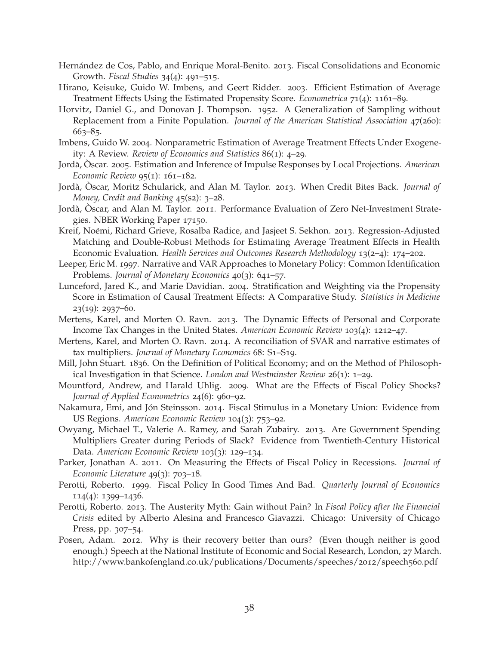- Hernández de Cos, Pablo, and Enrique Moral-Benito. 2013. Fiscal Consolidations and Economic Growth. *Fiscal Studies* 34(4): 491–515.
- Hirano, Keisuke, Guido W. Imbens, and Geert Ridder. 2003. Efficient Estimation of Average Treatment Effects Using the Estimated Propensity Score. *Econometrica* 71(4): 1161–89.
- Horvitz, Daniel G., and Donovan J. Thompson. 1952. A Generalization of Sampling without Replacement from a Finite Population. *Journal of the American Statistical Association* 47(260): 663–85.
- Imbens, Guido W. 2004. Nonparametric Estimation of Average Treatment Effects Under Exogeneity: A Review. *Review of Economics and Statistics* 86(1): 4–29.
- Jordà, Òscar. 2005. Estimation and Inference of Impulse Responses by Local Projections. *American Economic Review* 95(1): 161–182.
- Jordà, Òscar, Moritz Schularick, and Alan M. Taylor. 2013. When Credit Bites Back. *Journal of Money, Credit and Banking* 45(s2): 3–28.
- Jordà, Òscar, and Alan M. Taylor. 2011. Performance Evaluation of Zero Net-Investment Strategies. NBER Working Paper 17150.
- Kreif, Noémi, Richard Grieve, Rosalba Radice, and Jasjeet S. Sekhon. 2013. Regression-Adjusted Matching and Double-Robust Methods for Estimating Average Treatment Effects in Health Economic Evaluation. *Health Services and Outcomes Research Methodology* 13(2–4): 174–202.
- Leeper, Eric M. 1997. Narrative and VAR Approaches to Monetary Policy: Common Identification Problems. *Journal of Monetary Economics* 40(3): 641–57.
- Lunceford, Jared K., and Marie Davidian. 2004. Stratification and Weighting via the Propensity Score in Estimation of Causal Treatment Effects: A Comparative Study. *Statistics in Medicine* 23(19): 2937–60.
- Mertens, Karel, and Morten O. Ravn. 2013. The Dynamic Effects of Personal and Corporate Income Tax Changes in the United States. *American Economic Review* 103(4): 1212–47.
- Mertens, Karel, and Morten O. Ravn. 2014. A reconciliation of SVAR and narrative estimates of tax multipliers. *Journal of Monetary Economics* 68: S1–S19.
- Mill, John Stuart. 1836. On the Definition of Political Economy; and on the Method of Philosophical Investigation in that Science. *London and Westminster Review* 26(1): 1–29.
- Mountford, Andrew, and Harald Uhlig. 2009. What are the Effects of Fiscal Policy Shocks? *Journal of Applied Econometrics* 24(6): 960–92.
- Nakamura, Emi, and Jón Steinsson. 2014. Fiscal Stimulus in a Monetary Union: Evidence from US Regions. *American Economic Review* 104(3): 753–92.
- Owyang, Michael T., Valerie A. Ramey, and Sarah Zubairy. 2013. Are Government Spending Multipliers Greater during Periods of Slack? Evidence from Twentieth-Century Historical Data. *American Economic Review* 103(3): 129–134.
- Parker, Jonathan A. 2011. On Measuring the Effects of Fiscal Policy in Recessions. *Journal of Economic Literature* 49(3): 703–18.
- Perotti, Roberto. 1999. Fiscal Policy In Good Times And Bad. *Quarterly Journal of Economics* 114(4): 1399–1436.
- Perotti, Roberto. 2013. The Austerity Myth: Gain without Pain? In *Fiscal Policy after the Financial Crisis* edited by Alberto Alesina and Francesco Giavazzi. Chicago: University of Chicago Press, pp. 307–54.
- Posen, Adam. 2012. Why is their recovery better than ours? (Even though neither is good enough.) Speech at the National Institute of Economic and Social Research, London, 27 March. http://www.bankofengland.co.uk/publications/Documents/speeches/2012/speech560.pdf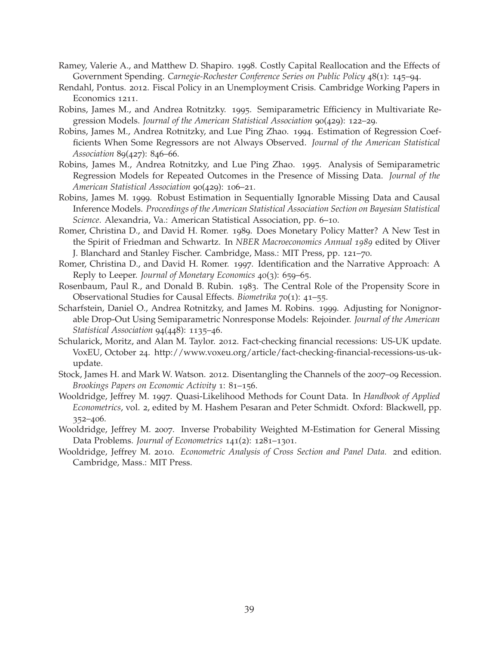- Ramey, Valerie A., and Matthew D. Shapiro. 1998. Costly Capital Reallocation and the Effects of Government Spending. *Carnegie-Rochester Conference Series on Public Policy* 48(1): 145–94.
- Rendahl, Pontus. 2012. Fiscal Policy in an Unemployment Crisis. Cambridge Working Papers in Economics 1211.
- Robins, James M., and Andrea Rotnitzky. 1995. Semiparametric Efficiency in Multivariate Regression Models. *Journal of the American Statistical Association* 90(429): 122–29.
- Robins, James M., Andrea Rotnitzky, and Lue Ping Zhao. 1994. Estimation of Regression Coefficients When Some Regressors are not Always Observed. *Journal of the American Statistical Association* 89(427): 846–66.
- Robins, James M., Andrea Rotnitzky, and Lue Ping Zhao. 1995. Analysis of Semiparametric Regression Models for Repeated Outcomes in the Presence of Missing Data. *Journal of the American Statistical Association* 90(429): 106–21.
- Robins, James M. 1999. Robust Estimation in Sequentially Ignorable Missing Data and Causal Inference Models. *Proceedings of the American Statistical Association Section on Bayesian Statistical Science*. Alexandria, Va.: American Statistical Association, pp. 6–10.
- Romer, Christina D., and David H. Romer. 1989. Does Monetary Policy Matter? A New Test in the Spirit of Friedman and Schwartz. In *NBER Macroeconomics Annual 1989* edited by Oliver J. Blanchard and Stanley Fischer. Cambridge, Mass.: MIT Press, pp. 121–70.
- Romer, Christina D., and David H. Romer. 1997. Identification and the Narrative Approach: A Reply to Leeper. *Journal of Monetary Economics* 40(3): 659–65.
- Rosenbaum, Paul R., and Donald B. Rubin. 1983. The Central Role of the Propensity Score in Observational Studies for Causal Effects. *Biometrika* 70(1): 41–55.
- Scharfstein, Daniel O., Andrea Rotnitzky, and James M. Robins. 1999. Adjusting for Nonignorable Drop-Out Using Semiparametric Nonresponse Models: Rejoinder. *Journal of the American Statistical Association* 94(448): 1135–46.
- Schularick, Moritz, and Alan M. Taylor. 2012. Fact-checking financial recessions: US-UK update. VoxEU, October 24. http://www.voxeu.org/article/fact-checking-financial-recessions-us-ukupdate.
- Stock, James H. and Mark W. Watson. 2012. Disentangling the Channels of the 2007–09 Recession. *Brookings Papers on Economic Activity* 1: 81–156.
- Wooldridge, Jeffrey M. 1997. Quasi-Likelihood Methods for Count Data. In *Handbook of Applied Econometrics*, vol. 2, edited by M. Hashem Pesaran and Peter Schmidt. Oxford: Blackwell, pp. 352–406.
- Wooldridge, Jeffrey M. 2007. Inverse Probability Weighted M-Estimation for General Missing Data Problems. *Journal of Econometrics* 141(2): 1281–1301.
- Wooldridge, Jeffrey M. 2010. *Econometric Analysis of Cross Section and Panel Data.* 2nd edition. Cambridge, Mass.: MIT Press.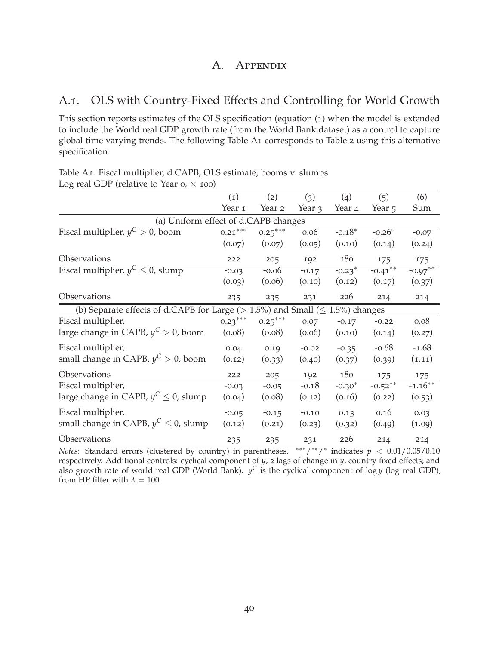# A. Appendix

# A.1. OLS with Country-Fixed Effects and Controlling for World Growth

This section reports estimates of the OLS specification (equation (1) when the model is extended to include the World real GDP growth rate (from the World Bank dataset) as a control to capture global time varying trends. The following Table A1 corresponds to Table 2 using this alternative specification.

|                                                                                               | $\left( 1\right)$     | (2)       | (3)     | (4)                  | (5)        | (6)        |  |  |  |  |
|-----------------------------------------------------------------------------------------------|-----------------------|-----------|---------|----------------------|------------|------------|--|--|--|--|
|                                                                                               | Year 1                | Year 2    | Year 3  | Year 4               | Year 5     | Sum        |  |  |  |  |
| (a) Uniform effect of d.CAPB changes                                                          |                       |           |         |                      |            |            |  |  |  |  |
| Fiscal multiplier, $y^C > 0$ , boom                                                           | $0.21***$             | $0.25***$ | 0.06    | $-0.18*$             | $-0.26*$   | $-0.07$    |  |  |  |  |
|                                                                                               | (0.07)                | (0.07)    | (0.05)  | (0.10)               | (0.14)     | (0.24)     |  |  |  |  |
| Observations                                                                                  | 222                   | 205       | 192     | 180                  | 175        | 175        |  |  |  |  |
| Fiscal multiplier, $y^C \leq 0$ , slump                                                       | $-0.03$               | $-0.06$   | $-0.17$ | $-0.23$ <sup>*</sup> | $-0.41***$ | $-0.97**$  |  |  |  |  |
|                                                                                               | (0.03)                | (0.06)    | (0.10)  | (0.12)               | (0.17)     | (0.37)     |  |  |  |  |
| Observations                                                                                  | 235                   | 235       | 231     | 226                  | 214        | 214        |  |  |  |  |
| (b) Separate effects of d.CAPB for Large ( $> 1.5\%$ ) and Small ( $\leq 1.5\%$ ) changes     |                       |           |         |                      |            |            |  |  |  |  |
| Fiscal multiplier,                                                                            | $0.23$ <sup>***</sup> | $0.25***$ | 0.07    | $-0.17$              | $-0.22$    | 0.08       |  |  |  |  |
| large change in CAPB, $y^C > 0$ , boom                                                        | (0.08)                | (0.08)    | (0.06)  | (0.10)               | (0.14)     | (0.27)     |  |  |  |  |
| Fiscal multiplier,                                                                            | 0.04                  | 0.19      | $-0.02$ | $-0.35$              | $-0.68$    | $-1.68$    |  |  |  |  |
| small change in CAPB, $y^C > 0$ , boom                                                        | (0.12)                | (0.33)    | (0.40)  | (0.37)               | (0.39)     | (1.11)     |  |  |  |  |
| Observations                                                                                  | 222                   | 205       | 192     | 180                  | 175        | 175        |  |  |  |  |
| Fiscal multiplier,                                                                            | $-0.03$               | $-0.05$   | $-0.18$ | $-0.30*$             | $-0.52***$ | $-1.16$ ** |  |  |  |  |
| large change in CAPB, $y^C \le 0$ , slump                                                     | (0.04)                | (0.08)    | (0.12)  | (0.16)               | (0.22)     | (0.53)     |  |  |  |  |
| Fiscal multiplier,                                                                            | $-0.05$               | $-0.15$   | $-0.10$ | 0.13                 | 0.16       | 0.03       |  |  |  |  |
| small change in CAPB, $y^C \le 0$ , slump                                                     | (0.12)                | (0.21)    | (0.23)  | (0.32)               | (0.49)     | (1.09)     |  |  |  |  |
| Observations                                                                                  | 235                   | 235       | 231     | 226                  | 214        | 214        |  |  |  |  |
| Material Champton of Company (alternative delivery control<br>المحمد والمستحدث المدارك والمسا |                       |           |         |                      |            |            |  |  |  |  |

Table A1. Fiscal multiplier, d.CAPB, OLS estimate, booms v. slumps Log real GDP (relative to Year  $0, \times 100$ )

*Notes:* Standard errors (clustered by country) in parentheses. ∗∗/ ∗ indicates *p* < 0.01/0.05/0.10 respectively. Additional controls: cyclical component of *y*, 2 lags of change in *y*, country fixed effects; and also growth rate of world real GDP (World Bank).  $y^C$  is the cyclical component of log *y* (log real GDP), from HP filter with  $\lambda = 100$ .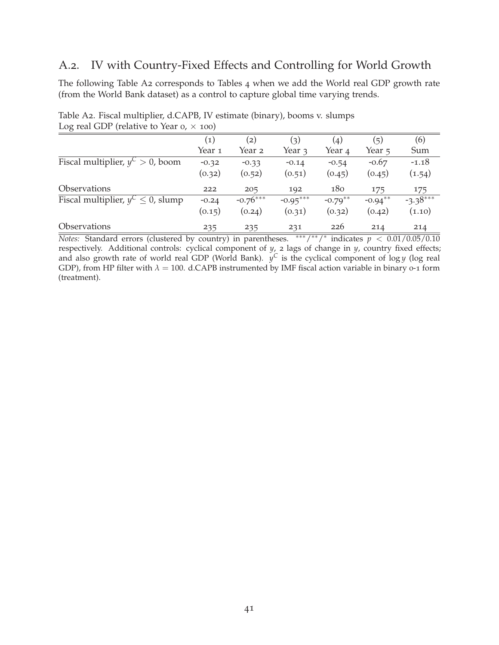# A.2. IV with Country-Fixed Effects and Controlling for World Growth

The following Table A2 corresponds to Tables 4 when we add the World real GDP growth rate (from the World Bank dataset) as a control to capture global time varying trends.

| Log real GDP (relative to rear $0, \times 100$ ) |                    |            |            |                       |            |            |  |  |  |  |
|--------------------------------------------------|--------------------|------------|------------|-----------------------|------------|------------|--|--|--|--|
|                                                  | $\left( 1 \right)$ | (2)        | (3)        | $\left( 4 \right)$    | (5)        | (6)        |  |  |  |  |
|                                                  | Year 1             | Year 2     | Year 3     | Year 4                | Year 5     | Sum        |  |  |  |  |
| Fiscal multiplier, $y^C > 0$ , boom              | $-0.32$            | $-0.33$    | $-0.14$    | $-0.54$               | $-0.67$    | $-1.18$    |  |  |  |  |
|                                                  | (0.32)             | (0.52)     | (0.51)     | (0.45)                | (0.45)     | (1.54)     |  |  |  |  |
| <i><b>Observations</b></i>                       | 222                | 205        | 192        | 180                   | 175        | 175        |  |  |  |  |
| Fiscal multiplier, $y^C \le 0$ , slump           | $-0.24$            | $-0.76***$ | $-0.95***$ | $-0.79$ <sup>**</sup> | $-0.94***$ | $-3.38***$ |  |  |  |  |
|                                                  | (0.15)             | (0.24)     | (0.31)     | (0.32)                | (0.42)     | (1.10)     |  |  |  |  |
| Observations                                     | 235                | 235        | 231        | 226                   | 214        | 214        |  |  |  |  |

Table A2. Fiscal multiplier, d.CAPB, IV estimate (binary), booms v. slumps  $\Omega$  CDP (relative to Ye

*Notes:* Standard errors (clustered by country) in parentheses. ∗∗∗/ ∗∗/ ∗ indicates *p* < 0.01/0.05/0.10 respectively. Additional controls: cyclical component of *y*, 2 lags of change in *y*, country fixed effects; and also growth rate of world real GDP (World Bank). *y <sup>C</sup>* is the cyclical component of log *y* (log real GDP), from HP filter with  $\lambda = 100$ . d.CAPB instrumented by IMF fiscal action variable in binary 0-1 form (treatment).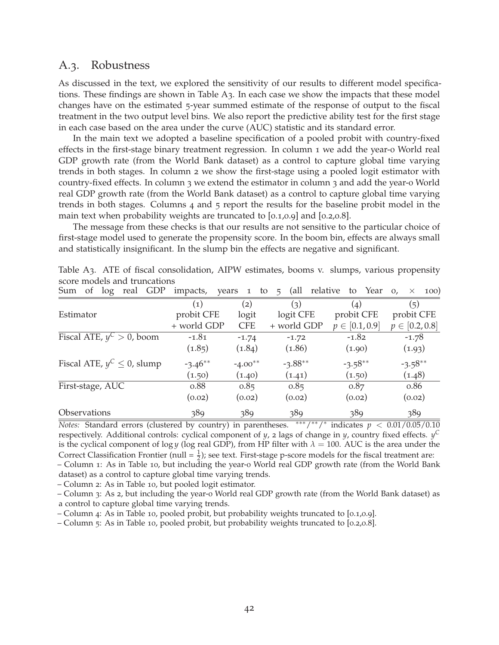## A.3. Robustness

As discussed in the text, we explored the sensitivity of our results to different model specifications. These findings are shown in Table A3. In each case we show the impacts that these model changes have on the estimated 5-year summed estimate of the response of output to the fiscal treatment in the two output level bins. We also report the predictive ability test for the first stage in each case based on the area under the curve (AUC) statistic and its standard error.

In the main text we adopted a baseline specification of a pooled probit with country-fixed effects in the first-stage binary treatment regression. In column 1 we add the year-0 World real GDP growth rate (from the World Bank dataset) as a control to capture global time varying trends in both stages. In column 2 we show the first-stage using a pooled logit estimator with country-fixed effects. In column 3 we extend the estimator in column 3 and add the year-0 World real GDP growth rate (from the World Bank dataset) as a control to capture global time varying trends in both stages. Columns 4 and 5 report the results for the baseline probit model in the main text when probability weights are truncated to [0.1,0.9] and [0.2,0.8].

The message from these checks is that our results are not sensitive to the particular choice of first-stage model used to generate the propensity score. In the boom bin, effects are always small and statistically insignificant. In the slump bin the effects are negative and significant.

| Sum<br>GDP<br>real<br>log<br>of  | impacts,          | years<br>$\mathbf{1}$ | to $5$      | (all relative to Year | 100)<br>$\times$<br>$\overline{O}$ , |
|----------------------------------|-------------------|-----------------------|-------------|-----------------------|--------------------------------------|
|                                  | $\left( 1\right)$ | (2)                   | (3)         | $\left( 4\right)$     | (5)                                  |
| Estimator                        | probit CFE        | logit                 | logit CFE   | probit CFE            | probit CFE                           |
|                                  | + world GDP       | <b>CFE</b>            | + world GDP | $p \in [0.1, 0.9]$    | $p \in [0.2, 0.8]$                   |
| Fiscal ATE, $y^C > 0$ , boom     | $-1.81$           | $-1.74$               | $-1.72$     | $-1.82$               | $-1.78$                              |
|                                  | (1.85)            | (1.84)                | (1.86)      | (1.90)                | (1.93)                               |
| Fiscal ATE, $y^C \leq 0$ , slump | $-3.46**$         | $-4.00**$             | $-3.88**$   | $-3.58**$             | $-3.58**$                            |
|                                  | (1.50)            | (1.40)                | (1.41)      | (1.50)                | (1.48)                               |
| First-stage, AUC                 | 0.88              | 0.85                  | 0.85        | 0.87                  | 0.86                                 |
|                                  | (0.02)            | (0.02)                | (0.02)      | (0.02)                | (0.02)                               |
| Observations                     | 389               | 389                   | 389         | 389                   | 389                                  |

Table A3. ATE of fiscal consolidation, AIPW estimates, booms v. slumps, various propensity score models and truncations

*Notes:* Standard errors (clustered by country) in parentheses. ∗∗∗/ ∗∗/ ∗ indicates *p* < 0.01/0.05/0.10 respectively. Additional controls: cyclical component of *y*, 2 lags of change in *y*, country fixed effects. *y C* is the cyclical component of log *y* (log real GDP), from HP filter with  $\lambda = 100$ . AUC is the area under the Correct Classification Frontier (null =  $\frac{1}{2}$ ); see text. First-stage p-score models for the fiscal treatment are: – Column 1: As in Table 10, but including the year-0 World real GDP growth rate (from the World Bank dataset) as a control to capture global time varying trends.

– Column 2: As in Table 10, but pooled logit estimator.

– Column 3: As 2, but including the year-0 World real GDP growth rate (from the World Bank dataset) as a control to capture global time varying trends.

– Column 4: As in Table 10, pooled probit, but probability weights truncated to [0.1,0.9].

– Column 5: As in Table 10, pooled probit, but probability weights truncated to [0.2,0.8].